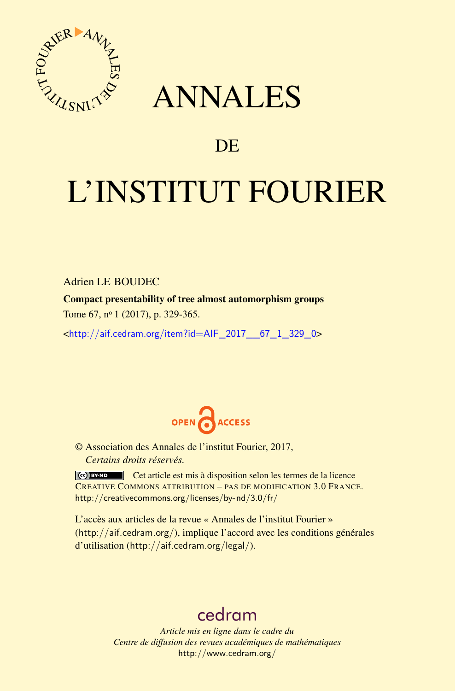

## ANNALES

### **DE**

# L'INSTITUT FOURIER

Adrien LE BOUDEC

Compact presentability of tree almost automorphism groups

Tome 67, nº 1 (2017), p. 329-365.

<[http://aif.cedram.org/item?id=AIF\\_2017\\_\\_67\\_1\\_329\\_0](http://aif.cedram.org/item?id=AIF_2017__67_1_329_0)>



© Association des Annales de l'institut Fourier, 2017, *Certains droits réservés.*

Cet article est mis à disposition selon les termes de la licence CREATIVE COMMONS ATTRIBUTION – PAS DE MODIFICATION 3.0 FRANCE. <http://creativecommons.org/licenses/by-nd/3.0/fr/>

L'accès aux articles de la revue « Annales de l'institut Fourier » (<http://aif.cedram.org/>), implique l'accord avec les conditions générales d'utilisation (<http://aif.cedram.org/legal/>).

## [cedram](http://www.cedram.org/)

*Article mis en ligne dans le cadre du Centre de diffusion des revues académiques de mathématiques* <http://www.cedram.org/>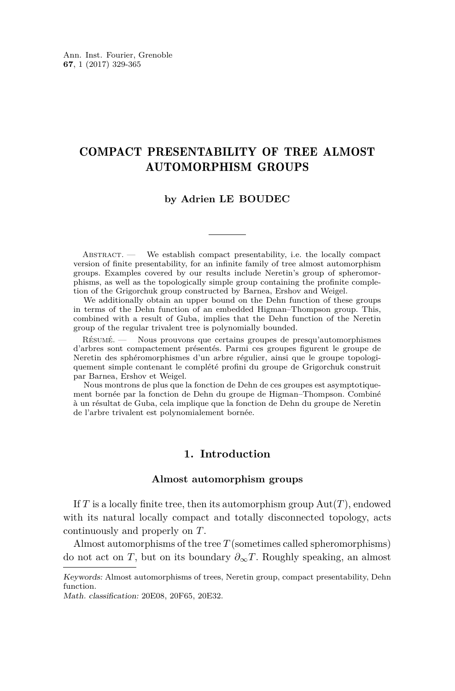#### COMPACT PRESENTABILITY OF TREE ALMOST AUTOMORPHISM GROUPS

#### **by Adrien LE BOUDEC**

ABSTRACT. — We establish compact presentability, i.e. the locally compact version of finite presentability, for an infinite family of tree almost automorphism groups. Examples covered by our results include Neretin's group of spheromorphisms, as well as the topologically simple group containing the profinite completion of the Grigorchuk group constructed by Barnea, Ershov and Weigel.

We additionally obtain an upper bound on the Dehn function of these groups in terms of the Dehn function of an embedded Higman–Thompson group. This, combined with a result of Guba, implies that the Dehn function of the Neretin group of the regular trivalent tree is polynomially bounded.

Résumé. — Nous prouvons que certains groupes de presqu'automorphismes d'arbres sont compactement présentés. Parmi ces groupes figurent le groupe de Neretin des sphéromorphismes d'un arbre régulier, ainsi que le groupe topologiquement simple contenant le complété profini du groupe de Grigorchuk construit par Barnea, Ershov et Weigel.

Nous montrons de plus que la fonction de Dehn de ces groupes est asymptotiquement bornée par la fonction de Dehn du groupe de Higman–Thompson. Combiné à un résultat de Guba, cela implique que la fonction de Dehn du groupe de Neretin de l'arbre trivalent est polynomialement bornée.

#### **1. Introduction**

#### **Almost automorphism groups**

If *T* is a locally finite tree, then its automorphism group Aut(*T*), endowed with its natural locally compact and totally disconnected topology, acts continuously and properly on *T*.

Almost automorphisms of the tree *T* (sometimes called spheromorphisms) do not act on *T*, but on its boundary  $\partial_{\infty}T$ . Roughly speaking, an almost

Keywords: Almost automorphisms of trees, Neretin group, compact presentability, Dehn function.

Math. classification: 20E08, 20F65, 20E32.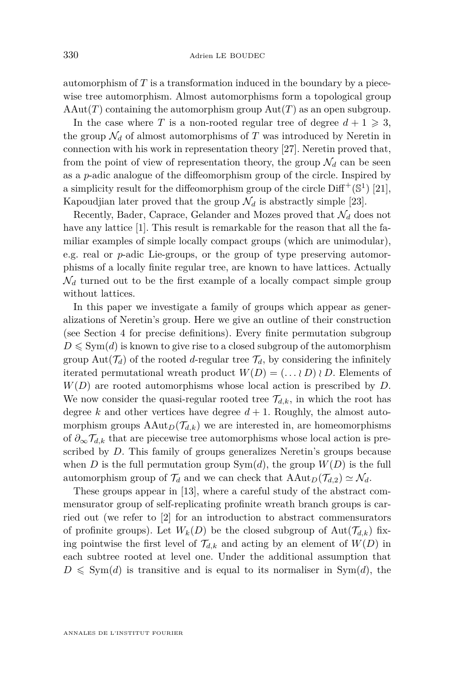automorphism of *T* is a transformation induced in the boundary by a piecewise tree automorphism. Almost automorphisms form a topological group  $AAut(T)$  containing the automorphism group  $Aut(T)$  as an open subgroup.

In the case where *T* is a non-rooted regular tree of degree  $d + 1 \geq 3$ , the group  $\mathcal{N}_d$  of almost automorphisms of *T* was introduced by Neretin in connection with his work in representation theory [\[27\]](#page-37-0). Neretin proved that, from the point of view of representation theory, the group  $\mathcal{N}_d$  can be seen as a *p*-adic analogue of the diffeomorphism group of the circle. Inspired by a simplicity result for the diffeomorphism group of the circle  $\text{Diff}^+(\mathbb{S}^1)$  [\[21\]](#page-36-0), Kapoudjian later proved that the group  $\mathcal{N}_d$  is abstractly simple [\[23\]](#page-36-1).

Recently, Bader, Caprace, Gelander and Mozes proved that  $\mathcal{N}_d$  does not have any lattice [\[1\]](#page-35-0). This result is remarkable for the reason that all the familiar examples of simple locally compact groups (which are unimodular), e.g. real or *p*-adic Lie-groups, or the group of type preserving automorphisms of a locally finite regular tree, are known to have lattices. Actually  $\mathcal{N}_d$  turned out to be the first example of a locally compact simple group without lattices.

In this paper we investigate a family of groups which appear as generalizations of Neretin's group. Here we give an outline of their construction (see Section [4](#page-12-0) for precise definitions). Every finite permutation subgroup  $D \leqslant \text{Sym}(d)$  is known to give rise to a closed subgroup of the automorphism group Aut $(\mathcal{T}_d)$  of the rooted *d*-regular tree  $\mathcal{T}_d$ , by considering the infinitely iterated permutational wreath product  $W(D) = (\ldots \wr D) \wr D$ . Elements of *W*(*D*) are rooted automorphisms whose local action is prescribed by *D*. We now consider the quasi-regular rooted tree  $\mathcal{T}_{d,k}$ , in which the root has degree  $k$  and other vertices have degree  $d + 1$ . Roughly, the almost automorphism groups  $A \text{Aut}_D(\mathcal{T}_{d,k})$  we are interested in, are homeomorphisms of *∂*∞T*d,k* that are piecewise tree automorphisms whose local action is prescribed by *D*. This family of groups generalizes Neretin's groups because when *D* is the full permutation group  $Sym(d)$ , the group  $W(D)$  is the full automorphism group of  $\mathcal{T}_d$  and we can check that  $\text{AAut}_D(\mathcal{T}_{d,2}) \simeq \mathcal{N}_d$ .

These groups appear in [\[13\]](#page-36-2), where a careful study of the abstract commensurator group of self-replicating profinite wreath branch groups is carried out (we refer to [\[2\]](#page-36-3) for an introduction to abstract commensurators of profinite groups). Let  $W_k(D)$  be the closed subgroup of  $Aut(\mathcal{T}_{d,k})$  fixing pointwise the first level of  $\mathcal{T}_{d,k}$  and acting by an element of  $W(D)$  in each subtree rooted at level one. Under the additional assumption that  $D \leq \text{Sym}(d)$  is transitive and is equal to its normaliser in Sym $(d)$ , the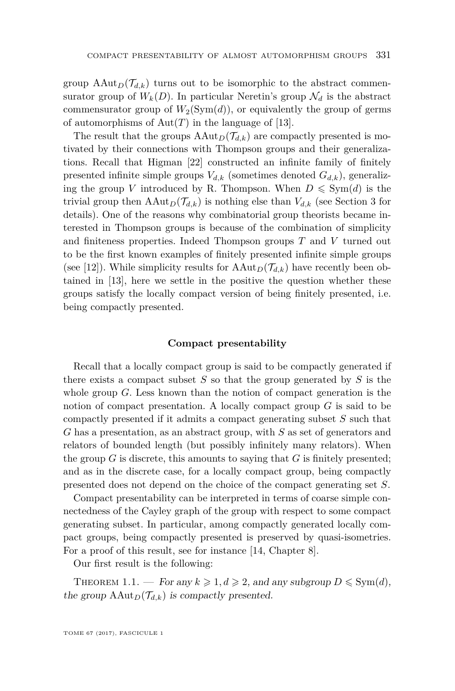group  $\text{AAut}_D(\mathcal{T}_{d,k})$  turns out to be isomorphic to the abstract commensurator group of  $W_k(D)$ . In particular Neretin's group  $\mathcal{N}_d$  is the abstract commensurator group of  $W_2(\mathrm{Sym}(d))$ , or equivalently the group of germs of automorphisms of  $Aut(T)$  in the language of [\[13\]](#page-36-2).

The result that the groups  $\text{AAut}_D(\mathcal{T}_{d,k})$  are compactly presented is motivated by their connections with Thompson groups and their generalizations. Recall that Higman [\[22\]](#page-36-4) constructed an infinite family of finitely presented infinite simple groups  $V_{d,k}$  (sometimes denoted  $G_{d,k}$ ), generalizing the group *V* introduced by R. Thompson. When  $D \leq \text{Sym}(d)$  is the trivial group then  $\text{AAut}_D(\mathcal{T}_{d,k})$  is nothing else than  $V_{d,k}$  (see Section [3](#page-9-0) for details). One of the reasons why combinatorial group theorists became interested in Thompson groups is because of the combination of simplicity and finiteness properties. Indeed Thompson groups *T* and *V* turned out to be the first known examples of finitely presented infinite simple groups (see [\[12\]](#page-36-5)). While simplicity results for  $\text{AAut}_D(\mathcal{T}_{d,k})$  have recently been obtained in [\[13\]](#page-36-2), here we settle in the positive the question whether these groups satisfy the locally compact version of being finitely presented, i.e. being compactly presented.

#### **Compact presentability**

Recall that a locally compact group is said to be compactly generated if there exists a compact subset *S* so that the group generated by *S* is the whole group *G*. Less known than the notion of compact generation is the notion of compact presentation. A locally compact group *G* is said to be compactly presented if it admits a compact generating subset *S* such that *G* has a presentation, as an abstract group, with *S* as set of generators and relators of bounded length (but possibly infinitely many relators). When the group  $G$  is discrete, this amounts to saying that  $G$  is finitely presented; and as in the discrete case, for a locally compact group, being compactly presented does not depend on the choice of the compact generating set *S*.

Compact presentability can be interpreted in terms of coarse simple connectedness of the Cayley graph of the group with respect to some compact generating subset. In particular, among compactly generated locally compact groups, being compactly presented is preserved by quasi-isometries. For a proof of this result, see for instance [\[14,](#page-36-6) Chapter 8].

Our first result is the following:

<span id="page-3-0"></span>THEOREM 1.1. — For any  $k \geq 1, d \geq 2$ , and any subgroup  $D \leq \text{Sym}(d)$ , the group  $\text{AAut}_D(\mathcal{T}_{d,k})$  is compactly presented.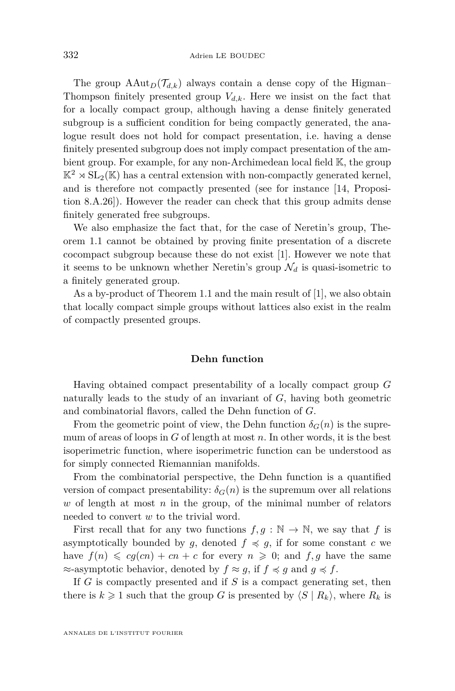The group  $\text{AAut}_D(\mathcal{T}_{d,k})$  always contain a dense copy of the Higman– Thompson finitely presented group  $V_{d,k}$ . Here we insist on the fact that for a locally compact group, although having a dense finitely generated subgroup is a sufficient condition for being compactly generated, the analogue result does not hold for compact presentation, i.e. having a dense finitely presented subgroup does not imply compact presentation of the ambient group. For example, for any non-Archimedean local field K, the group  $\mathbb{K}^2 \rtimes SL_2(\mathbb{K})$  has a central extension with non-compactly generated kernel, and is therefore not compactly presented (see for instance [\[14,](#page-36-6) Proposition 8.A.26]). However the reader can check that this group admits dense finitely generated free subgroups.

We also emphasize the fact that, for the case of Neretin's group, Theorem [1.1](#page-3-0) cannot be obtained by proving finite presentation of a discrete cocompact subgroup because these do not exist [\[1\]](#page-35-0). However we note that it seems to be unknown whether Neretin's group  $\mathcal{N}_d$  is quasi-isometric to a finitely generated group.

As a by-product of Theorem [1.1](#page-3-0) and the main result of [\[1\]](#page-35-0), we also obtain that locally compact simple groups without lattices also exist in the realm of compactly presented groups.

#### **Dehn function**

Having obtained compact presentability of a locally compact group *G* naturally leads to the study of an invariant of *G*, having both geometric and combinatorial flavors, called the Dehn function of *G*.

From the geometric point of view, the Dehn function  $\delta_G(n)$  is the supremum of areas of loops in *G* of length at most *n*. In other words, it is the best isoperimetric function, where isoperimetric function can be understood as for simply connected Riemannian manifolds.

From the combinatorial perspective, the Dehn function is a quantified version of compact presentability:  $\delta_G(n)$  is the supremum over all relations *w* of length at most *n* in the group, of the minimal number of relators needed to convert *w* to the trivial word.

First recall that for any two functions  $f, g : \mathbb{N} \to \mathbb{N}$ , we say that *f* is asymptotically bounded by *g*, denoted  $f \preccurlyeq g$ , if for some constant *c* we have  $f(n) \leq c g(cn) + c n + c$  for every  $n \geq 0$ ; and  $f, g$  have the same  $\approx$ -asymptotic behavior, denoted by  $f \approx g$ , if  $f \preccurlyeq g$  and  $g \preccurlyeq f$ .

If *G* is compactly presented and if *S* is a compact generating set, then there is  $k \geq 1$  such that the group *G* is presented by  $\langle S | R_k \rangle$ , where  $R_k$  is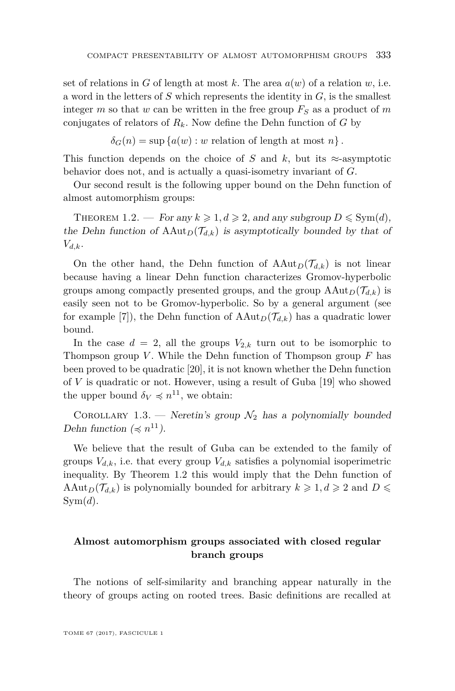set of relations in *G* of length at most *k*. The area  $a(w)$  of a relation *w*, i.e. a word in the letters of *S* which represents the identity in *G*, is the smallest integer  $m$  so that  $w$  can be written in the free group  $F_S$  as a product of  $m$ conjugates of relators of  $R_k$ . Now define the Dehn function of  $G$  by

$$
\delta_G(n) = \sup \{ a(w) : w \text{ relation of length at most } n \}.
$$

This function depends on the choice of *S* and *k*, but its  $\approx$ -asymptotic behavior does not, and is actually a quasi-isometry invariant of *G*.

Our second result is the following upper bound on the Dehn function of almost automorphism groups:

<span id="page-5-0"></span>THEOREM 1.2. — For any  $k \geq 1, d \geq 2$ , and any subgroup  $D \leq \text{Sym}(d)$ , the Dehn function of  $\text{AAut}_D(\mathcal{T}_{d,k})$  is asymptotically bounded by that of *Vd,k*.

On the other hand, the Dehn function of  $AAut_D(\mathcal{T}_{d,k})$  is not linear because having a linear Dehn function characterizes Gromov-hyperbolic groups among compactly presented groups, and the group  $\text{AAut}_D(\mathcal{T}_{d,k})$  is easily seen not to be Gromov-hyperbolic. So by a general argument (see for example [\[7\]](#page-36-7)), the Dehn function of  $\text{AAut}_D(\mathcal{T}_{d,k})$  has a quadratic lower bound.

In the case  $d = 2$ , all the groups  $V_{2,k}$  turn out to be isomorphic to Thompson group *V* . While the Dehn function of Thompson group *F* has been proved to be quadratic [\[20\]](#page-36-8), it is not known whether the Dehn function of *V* is quadratic or not. However, using a result of Guba [\[19\]](#page-36-9) who showed the upper bound  $\delta_V \preccurlyeq n^{11}$ , we obtain:

COROLLARY 1.3. — Neretin's group  $\mathcal{N}_2$  has a polynomially bounded Dehn function ( $\preccurlyeq n^{11}$ ).

We believe that the result of Guba can be extended to the family of groups  $V_{d,k}$ , i.e. that every group  $V_{d,k}$  satisfies a polynomial isoperimetric inequality. By Theorem [1.2](#page-5-0) this would imply that the Dehn function of AAut<sub>*D*</sub>( $\mathcal{T}_{d,k}$ ) is polynomially bounded for arbitrary  $k \geq 1, d \geq 2$  and  $D \leq$  $Sym(d)$ .

#### **Almost automorphism groups associated with closed regular branch groups**

The notions of self-similarity and branching appear naturally in the theory of groups acting on rooted trees. Basic definitions are recalled at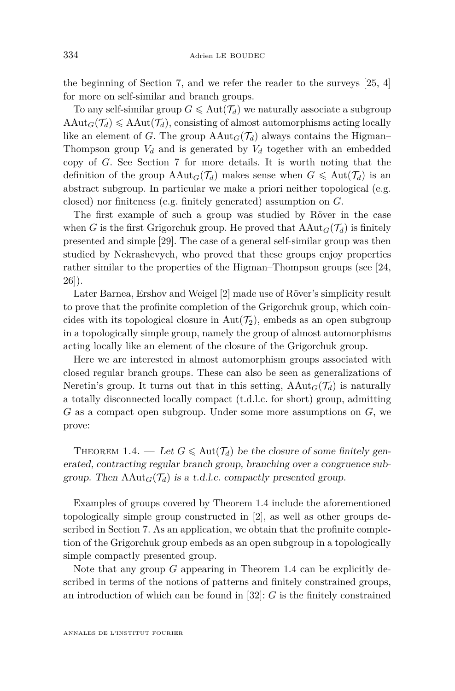the beginning of Section [7,](#page-27-0) and we refer the reader to the surveys [\[25,](#page-37-1) [4\]](#page-36-10) for more on self-similar and branch groups.

To any self-similar group  $G \leq \text{Aut}(\mathcal{T}_d)$  we naturally associate a subgroup  $\text{AAut}_G(\mathcal{T}_d) \leq \text{AAut}(\mathcal{T}_d)$ , consisting of almost automorphisms acting locally like an element of *G*. The group  $AAut_G(\mathcal{T}_d)$  always contains the Higman– Thompson group  $V_d$  and is generated by  $V_d$  together with an embedded copy of *G*. See Section [7](#page-27-0) for more details. It is worth noting that the definition of the group  $AAut_G(\mathcal{T}_d)$  makes sense when  $G \leqslant Aut(\mathcal{T}_d)$  is an abstract subgroup. In particular we make a priori neither topological (e.g. closed) nor finiteness (e.g. finitely generated) assumption on *G*.

The first example of such a group was studied by Röver in the case when *G* is the first Grigorchuk group. He proved that  $\text{AAut}_G(\mathcal{T}_d)$  is finitely presented and simple [\[29\]](#page-37-2). The case of a general self-similar group was then studied by Nekrashevych, who proved that these groups enjoy properties rather similar to the properties of the Higman–Thompson groups (see [\[24,](#page-37-3) [26\]](#page-37-4)).

Later Barnea, Ershov and Weigel [\[2\]](#page-36-3) made use of Röver's simplicity result to prove that the profinite completion of the Grigorchuk group, which coincides with its topological closure in  $Aut(\mathcal{T}_2)$ , embeds as an open subgroup in a topologically simple group, namely the group of almost automorphisms acting locally like an element of the closure of the Grigorchuk group.

Here we are interested in almost automorphism groups associated with closed regular branch groups. These can also be seen as generalizations of Neretin's group. It turns out that in this setting,  $AAut_G(\mathcal{T}_d)$  is naturally a totally disconnected locally compact (t.d.l.c. for short) group, admitting *G* as a compact open subgroup. Under some more assumptions on *G*, we prove:

<span id="page-6-0"></span>THEOREM 1.4. — Let  $G \leq \text{Aut}(\mathcal{T}_d)$  be the closure of some finitely generated, contracting regular branch group, branching over a congruence subgroup. Then  $\text{AAut}_G(\mathcal{T}_d)$  is a t.d.l.c. compactly presented group.

Examples of groups covered by Theorem [1.4](#page-6-0) include the aforementioned topologically simple group constructed in [\[2\]](#page-36-3), as well as other groups described in Section [7.](#page-27-0) As an application, we obtain that the profinite completion of the Grigorchuk group embeds as an open subgroup in a topologically simple compactly presented group.

Note that any group *G* appearing in Theorem [1.4](#page-6-0) can be explicitly described in terms of the notions of patterns and finitely constrained groups, an introduction of which can be found in [\[32\]](#page-37-5): *G* is the finitely constrained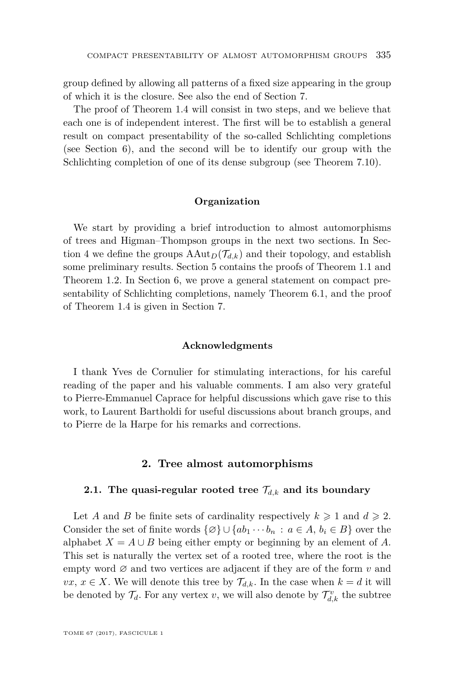group defined by allowing all patterns of a fixed size appearing in the group of which it is the closure. See also the end of Section [7.](#page-27-0)

The proof of Theorem [1.4](#page-6-0) will consist in two steps, and we believe that each one is of independent interest. The first will be to establish a general result on compact presentability of the so-called Schlichting completions (see Section [6\)](#page-23-0), and the second will be to identify our group with the Schlichting completion of one of its dense subgroup (see Theorem [7.10\)](#page-32-0).

#### **Organization**

We start by providing a brief introduction to almost automorphisms of trees and Higman–Thompson groups in the next two sections. In Sec-tion [4](#page-12-0) we define the groups  $\text{AAut}_D(\mathcal{T}_{d,k})$  and their topology, and establish some preliminary results. Section [5](#page-17-0) contains the proofs of Theorem [1.1](#page-3-0) and Theorem [1.2.](#page-5-0) In Section [6,](#page-23-0) we prove a general statement on compact presentability of Schlichting completions, namely Theorem [6.1,](#page-24-0) and the proof of Theorem [1.4](#page-6-0) is given in Section [7.](#page-27-0)

#### **Acknowledgments**

I thank Yves de Cornulier for stimulating interactions, for his careful reading of the paper and his valuable comments. I am also very grateful to Pierre-Emmanuel Caprace for helpful discussions which gave rise to this work, to Laurent Bartholdi for useful discussions about branch groups, and to Pierre de la Harpe for his remarks and corrections.

#### **2. Tree almost automorphisms**

#### **2.1.** The quasi-regular rooted tree  $\mathcal{T}_{d,k}$  and its boundary

Let *A* and *B* be finite sets of cardinality respectively  $k \geq 1$  and  $d \geq 2$ . Consider the set of finite words  $\{\emptyset\} \cup \{ab_1 \cdots b_n : a \in A, b_i \in B\}$  over the alphabet  $X = A \cup B$  being either empty or beginning by an element of A. This set is naturally the vertex set of a rooted tree, where the root is the empty word  $\varnothing$  and two vertices are adjacent if they are of the form  $v$  and *vx*, *x* ∈ *X*. We will denote this tree by  $\mathcal{T}_{d,k}$ . In the case when *k* = *d* it will be denoted by  $\mathcal{T}_d$ . For any vertex *v*, we will also denote by  $\mathcal{T}_{d,k}^v$  the subtree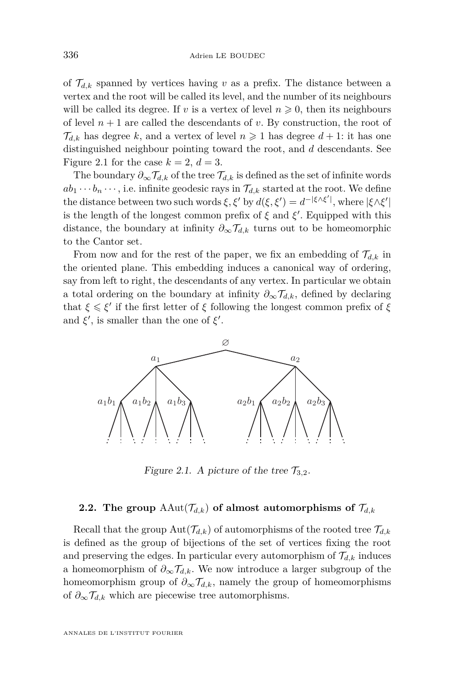of  $\mathcal{T}_{d,k}$  spanned by vertices having *v* as a prefix. The distance between a vertex and the root will be called its level, and the number of its neighbours<br>will be called its degree. If a is a vertex of level  $r > 0$ , then its neighbours will be called its degree. If *v* is a vertex of level  $n \geq 0$ , then its neighbours<br>of level  $n+1$  are called the decordants of *v*. By construction, the root of of level  $n + 1$  are called the descendants of  $v$ . By construction, the root of  $\mathcal{T}_{d,k}$  has degree *k*, and a vertex of level  $n \geq 1$  has degree  $d+1$ : it has one distinguished neighbour pointing toward the root, and *d* descendants. See Figure [2.1](#page-8-0) for the case  $k = 2$ ,  $d = 3$ . being either empty or beginning by an element of *A*. This set is naturally the vertex of tever  $n + 1$  are canceled the descendants of v. By construction, the root of  $d_{d,k}$  has degree k, and a vertex of level  $n \geqslant 1$  has degree  $a + 1$ : it has one Figure 2.1 for the case  $\kappa = 2$ ,  $a = 3$ .<br>The houndant  $\partial_a \mathcal{F}$  of the tree  $\mathcal{F}$  is defined as the set of infinite words.

The boundary  $\partial_{\infty} \mathcal{T}_{d,k}$  of the tree  $\mathcal{T}_{d,k}$  is defined as the set of infinite words  $ab_1 \cdots b_n \cdots$ , i.e. infinite geodesic rays in  $\mathcal{T}_{d,k}$  started at the root. We define the distance between two such words  $\xi$ ,  $\xi'$  by  $d(\xi, \xi') = d^{-|\xi \wedge \xi'|}$ , where  $|\xi \wedge \xi'|$ <br>is the length of the length common profit of  $\xi$  and  $\xi'$ . Equipped with this is the length of the longest common prefix of  $\xi$  and  $\xi'$ . Equipped with this<br>distance, the hourdant of infinite  $\partial \mathcal{I}$  turns out to be homeomorphic. distance, the boundary at infinity  $\partial_{\infty} \mathcal{T}_{d,k}$  turns out to be homeomorphic<br>to the Capter set to the Cantor set. The boundary  $\theta_{\infty} f_{d,k}$  of the tree  $f_{d,k}$  is defined as the set of million words . Equipped with this distance, the boundary at infinity  $\mathcal{L}_\mathbf{t}$ 

From now and for the rest of the paper, we fix an embedding of  $\mathcal{T}_{d,k}$  in the oriented plane. This embedding induces a canonical way of ordering,<br>From left to right, the decordents of any vertex. In particular we obtain say from left to right, the descendants of any vertex. In particular we obtain a total ordering on the boundary at infinity  $\partial_{\infty} \mathcal{T}_{d,k}$ , defined by declaring that  $\xi \leq \xi'$  if the first letter of  $\xi$  following the longest common prefix of  $\xi$ <br>and  $\xi'$  is smaller than the spa of  $\xi'$ and  $\xi'$ , is smaller than the one of  $\xi'$ . *∂ a d* turns out to be home to be the control along This embodding induces a set



<span id="page-8-0"></span>Figure 2.1. A picture of the tree  $\mathcal{T}_{3,2}$ .

#### **2.2.** The group  $AAut(\mathcal{T}_{d,k})$  of almost automorphisms of  $\mathcal{T}_{d,k}$

Recall that the group  $\text{Aut}(\mathcal{T}_{d,k})$  of automorphisms of the rooted tree  $\mathcal{T}_{d,k}$ and preserving the edges. In particular every automorphism of  $\mathcal{T}_{d,k}$  induces a homeomorphism of  $\partial_{\infty} \mathcal{T}_{d,k}$ . We now introduce a larger subgroup of the homeomorphism group of  $\partial_{\infty} \mathcal{T}_{d,k}$ , namely the group of homeomorphisms of  $\partial_{\infty}$  *T<sub>d,k</sub>*, which are piecewise tree automorphisms. is defined as the group of bijections of the set of vertices fixing the root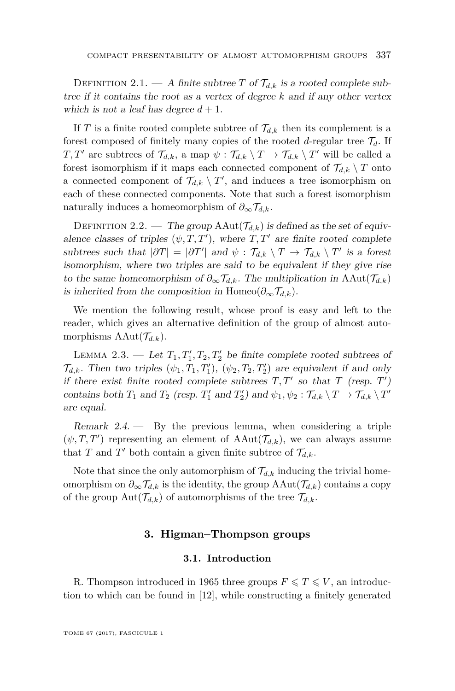DEFINITION 2.1. — A finite subtree *T* of  $\mathcal{T}_{d,k}$  is a rooted complete subtree if it contains the root as a vertex of degree *k* and if any other vertex which is not a leaf has degree  $d + 1$ .

If *T* is a finite rooted complete subtree of  $\mathcal{T}_{d,k}$  then its complement is a forest composed of finitely many copies of the rooted *d*-regular tree  $\mathcal{T}_d$ . If *T*, *T'* are subtrees of  $\mathcal{T}_{d,k}$ , a map  $\psi : \mathcal{T}_{d,k} \setminus T \to \mathcal{T}_{d,k} \setminus T'$  will be called a forest isomorphism if it maps each connected component of  $\mathcal{T}_{d,k} \setminus T$  onto a connected component of  $\mathcal{T}_{d,k} \setminus T'$ , and induces a tree isomorphism on each of these connected components. Note that such a forest isomorphism naturally induces a homeomorphism of  $\partial_{\infty} \mathcal{T}_{d,k}$ .

DEFINITION 2.2. — The group  $AAut(\mathcal{T}_{d,k})$  is defined as the set of equivalence classes of triples  $(\psi, T, T')$ , where  $T, T'$  are finite rooted complete subtrees such that  $|\partial T| = |\partial T'|$  and  $\psi : \mathcal{T}_{d,k} \setminus T \to \mathcal{T}_{d,k} \setminus T'$  is a forest isomorphism, where two triples are said to be equivalent if they give rise to the same homeomorphism of  $\partial_{\infty} \mathcal{T}_{d,k}$ . The multiplication in AAut $(\mathcal{T}_{d,k})$ is inherited from the composition in Homeo( $\partial_{\infty} \mathcal{T}_{d,k}$ ).

We mention the following result, whose proof is easy and left to the reader, which gives an alternative definition of the group of almost automorphisms  $AAut(\mathcal{T}_{d,k})$ .

LEMMA 2.3. — Let  $T_1, T_1', T_2, T_2'$  be finite complete rooted subtrees of  $\mathcal{T}_{d,k}$ . Then two triples  $(\psi_1, T_1, T'_1)$ ,  $(\psi_2, T_2, T'_2)$  are equivalent if and only if there exist finite rooted complete subtrees  $T, T'$  so that  $T$  (resp.  $T'$ ) contains both  $T_1$  and  $T_2$  (resp.  $T'_1$  and  $T'_2$ ) and  $\psi_1, \psi_2 : \mathcal{T}_{d,k} \setminus T \to \mathcal{T}_{d,k} \setminus T'$ are equal.

Remark  $2.4.$  — By the previous lemma, when considering a triple  $(\psi, T, T')$  representing an element of  $AAut(\mathcal{T}_{d,k})$ , we can always assume that *T* and *T'* both contain a given finite subtree of  $\mathcal{T}_{d,k}$ .

Note that since the only automorphism of  $\mathcal{T}_{d,k}$  inducing the trivial homeomorphism on  $\partial_{\infty} \mathcal{T}_{d,k}$  is the identity, the group  $AAut(\mathcal{T}_{d,k})$  contains a copy of the group  $\text{Aut}(\mathcal{T}_{d,k})$  of automorphisms of the tree  $\mathcal{T}_{d,k}$ .

#### **3. Higman–Thompson groups**

#### **3.1. Introduction**

<span id="page-9-0"></span>R. Thompson introduced in 1965 three groups  $F \le T \le V$ , an introduction to which can be found in [\[12\]](#page-36-5), while constructing a finitely generated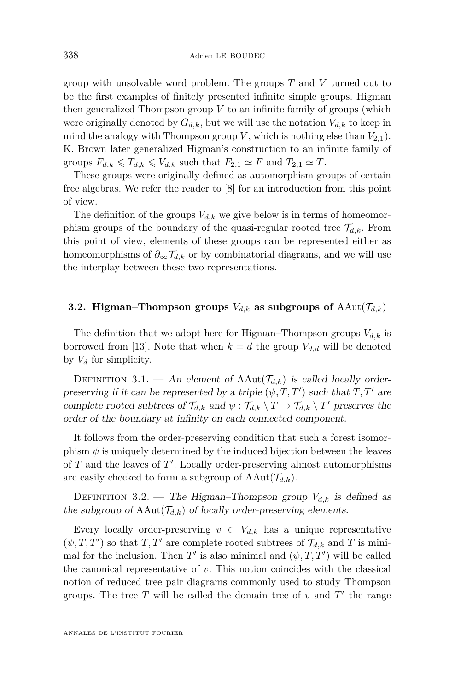group with unsolvable word problem. The groups *T* and *V* turned out to be the first examples of finitely presented infinite simple groups. Higman then generalized Thompson group *V* to an infinite family of groups (which were originally denoted by  $G_{d,k}$ , but we will use the notation  $V_{d,k}$  to keep in mind the analogy with Thompson group  $V$ , which is nothing else than  $V_{2,1}$ ). K. Brown later generalized Higman's construction to an infinite family of groups  $F_{d,k} \leq T_{d,k} \leq V_{d,k}$  such that  $F_{2,1} \simeq F$  and  $T_{2,1} \simeq T$ .

These groups were originally defined as automorphism groups of certain free algebras. We refer the reader to [\[8\]](#page-36-11) for an introduction from this point of view.

The definition of the groups  $V_{d,k}$  we give below is in terms of homeomorphism groups of the boundary of the quasi-regular rooted tree  $\mathcal{T}_{d,k}$ . From this point of view, elements of these groups can be represented either as homeomorphisms of  $\partial_{\infty} \mathcal{T}_{d,k}$  or by combinatorial diagrams, and we will use the interplay between these two representations.

#### **3.2. Higman–Thompson groups**  $V_{d,k}$  as subgroups of  $AAut(\mathcal{T}_{d,k})$

The definition that we adopt here for Higman–Thompson groups  $V_{d,k}$  is borrowed from [\[13\]](#page-36-2). Note that when  $k = d$  the group  $V_{d,d}$  will be denoted by *V<sup>d</sup>* for simplicity.

DEFINITION 3.1. — An element of  $AAut(\mathcal{T}_{d,k})$  is called locally orderpreserving if it can be represented by a triple  $(\psi, T, T')$  such that  $T, T'$  are complete rooted subtrees of  $\mathcal{T}_{d,k}$  and  $\psi : \mathcal{T}_{d,k} \setminus T \to \mathcal{T}_{d,k} \setminus T'$  preserves the order of the boundary at infinity on each connected component.

It follows from the order-preserving condition that such a forest isomorphism  $\psi$  is uniquely determined by the induced bijection between the leaves of  $T$  and the leaves of  $T'$ . Locally order-preserving almost automorphisms are easily checked to form a subgroup of  $AAut(\mathcal{T}_{d,k})$ .

DEFINITION 3.2. — The Higman–Thompson group  $V_{d,k}$  is defined as the subgroup of  $AAut(\mathcal{T}_{d,k})$  of locally order-preserving elements.

Every locally order-preserving  $v \in V_{d,k}$  has a unique representative  $(\psi, T, T')$  so that  $T, T'$  are complete rooted subtrees of  $\mathcal{T}_{d,k}$  and  $T$  is minimal for the inclusion. Then  $T'$  is also minimal and  $(\psi, T, T')$  will be called the canonical representative of *v*. This notion coincides with the classical notion of reduced tree pair diagrams commonly used to study Thompson groups. The tree  $T$  will be called the domain tree of  $v$  and  $T'$  the range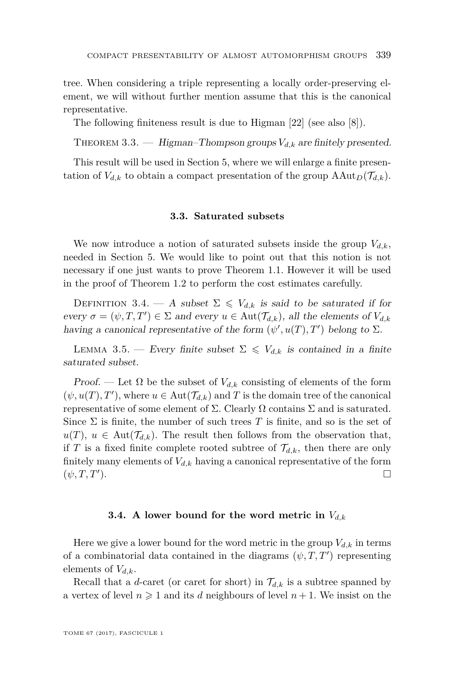tree. When considering a triple representing a locally order-preserving element, we will without further mention assume that this is the canonical representative.

The following finiteness result is due to Higman [\[22\]](#page-36-4) (see also [\[8\]](#page-36-11)).

<span id="page-11-1"></span>THEOREM 3.3. — Higman–Thompson groups  $V_{d,k}$  are finitely presented.

This result will be used in Section [5,](#page-17-0) where we will enlarge a finite presentation of  $V_{d,k}$  to obtain a compact presentation of the group  $\text{AAut}_D(\mathcal{T}_{d,k})$ .

#### **3.3. Saturated subsets**

We now introduce a notion of saturated subsets inside the group  $V_{d,k}$ , needed in Section [5.](#page-17-0) We would like to point out that this notion is not necessary if one just wants to prove Theorem [1.1.](#page-3-0) However it will be used in the proof of Theorem [1.2](#page-5-0) to perform the cost estimates carefully.

DEFINITION 3.4. — A subset  $\Sigma \leq V_{d,k}$  is said to be saturated if for every  $\sigma = (\psi, T, T') \in \Sigma$  and every  $u \in \text{Aut}(\mathcal{T}_{d,k})$ , all the elements of  $V_{d,k}$ having a canonical representative of the form  $(\psi', u(T), T')$  belong to  $\Sigma$ .

<span id="page-11-0"></span>LEMMA 3.5. — Every finite subset  $\Sigma \leq V_{d,k}$  is contained in a finite saturated subset.

Proof. — Let  $\Omega$  be the subset of  $V_{d,k}$  consisting of elements of the form  $(\psi, u(T), T')$ , where  $u \in \text{Aut}(\mathcal{T}_{d,k})$  and  $T$  is the domain tree of the canonical representative of some element of  $\Sigma$ . Clearly  $\Omega$  contains  $\Sigma$  and is saturated. Since  $\Sigma$  is finite, the number of such trees T is finite, and so is the set of  $u(T)$ ,  $u \in Aut(\mathcal{T}_{d,k})$ . The result then follows from the observation that, if *T* is a fixed finite complete rooted subtree of  $\mathcal{T}_{d,k}$ , then there are only finitely many elements of  $V_{d,k}$  having a canonical representative of the form  $(\psi, T, T^{\prime})$ . ).  $\qquad \qquad \Box$ 

#### **3.4.** A lower bound for the word metric in  $V_{d,k}$

Here we give a lower bound for the word metric in the group  $V_{d,k}$  in terms of a combinatorial data contained in the diagrams  $(\psi, T, T')$  representing elements of *Vd,k*.

Recall that a *d*-caret (or caret for short) in  $\mathcal{T}_{d,k}$  is a subtree spanned by a vertex of level  $n \geq 1$  and its *d* neighbours of level  $n + 1$ . We insist on the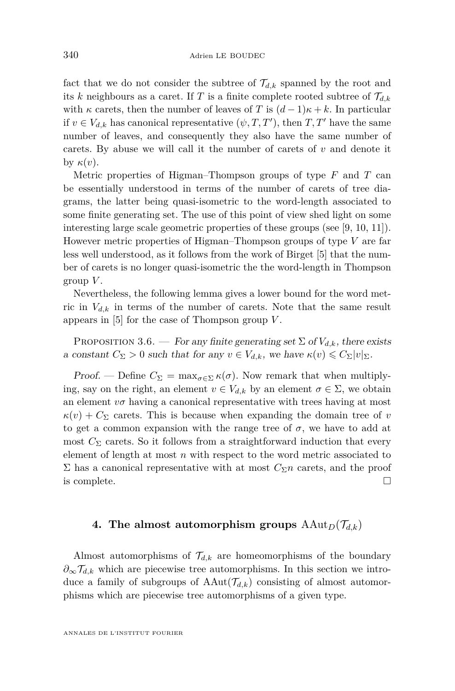fact that we do not consider the subtree of  $\mathcal{T}_{d,k}$  spanned by the root and its *k* neighbours as a caret. If *T* is a finite complete rooted subtree of  $\mathcal{T}_{d,k}$ with  $\kappa$  carets, then the number of leaves of *T* is  $(d-1)\kappa + k$ . In particular if  $v \in V_{d,k}$  has canonical representative  $(\psi, T, T')$ , then  $T, T'$  have the same number of leaves, and consequently they also have the same number of carets. By abuse we will call it the number of carets of *v* and denote it by *κ*(*v*).

Metric properties of Higman–Thompson groups of type *F* and *T* can be essentially understood in terms of the number of carets of tree diagrams, the latter being quasi-isometric to the word-length associated to some finite generating set. The use of this point of view shed light on some interesting large scale geometric properties of these groups (see [\[9,](#page-36-12) [10,](#page-36-13) [11\]](#page-36-14)). However metric properties of Higman–Thompson groups of type *V* are far less well understood, as it follows from the work of Birget [\[5\]](#page-36-15) that the number of carets is no longer quasi-isometric the the word-length in Thompson group *V* .

Nevertheless, the following lemma gives a lower bound for the word metric in  $V_{d,k}$  in terms of the number of carets. Note that the same result appears in [\[5\]](#page-36-15) for the case of Thompson group *V* .

<span id="page-12-1"></span>PROPOSITION 3.6. — For any finite generating set  $\Sigma$  of  $V_{d,k}$ , there exists a constant  $C_{\Sigma} > 0$  such that for any  $v \in V_{d,k}$ , we have  $\kappa(v) \leq C_{\Sigma} |v|_{\Sigma}$ .

Proof. — Define  $C_{\Sigma} = \max_{\sigma \in \Sigma} \kappa(\sigma)$ . Now remark that when multiplying, say on the right, an element  $v \in V_{d,k}$  by an element  $\sigma \in \Sigma$ , we obtain an element  $v\sigma$  having a canonical representative with trees having at most  $\kappa(v) + C_{\Sigma}$  carets. This is because when expanding the domain tree of *v* to get a common expansion with the range tree of  $\sigma$ , we have to add at most  $C_{\Sigma}$  carets. So it follows from a straightforward induction that every element of length at most *n* with respect to the word metric associated to Σ has a canonical representative with at most  $C_{\Sigma}$ *n* carets, and the proof is complete.  $\Box$ 

#### <span id="page-12-0"></span>**4.** The almost automorphism groups  $\text{AAut}_D(\mathcal{T}_{d,k})$

Almost automorphisms of  $\mathcal{T}_{d,k}$  are homeomorphisms of the boundary *∂*∞T*d,k* which are piecewise tree automorphisms. In this section we introduce a family of subgroups of  $AAut(\mathcal{T}_{d,k})$  consisting of almost automorphisms which are piecewise tree automorphisms of a given type.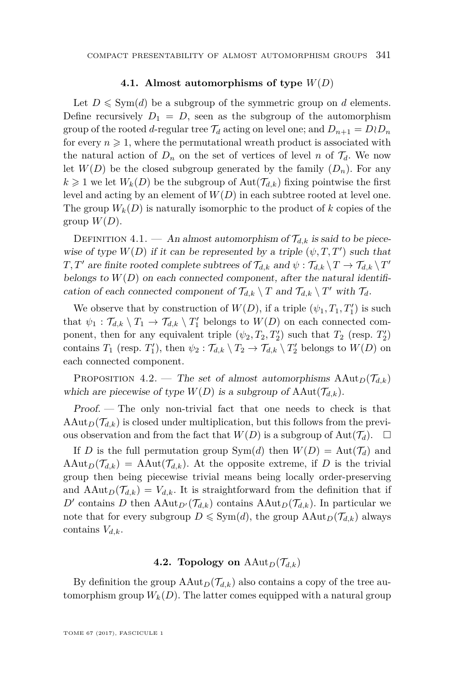#### **4.1. Almost automorphisms of type** *W*(*D*)

Let  $D \leq \text{Sym}(d)$  be a subgroup of the symmetric group on *d* elements. Define recursively  $D_1 = D$ , seen as the subgroup of the automorphism group of the rooted *d*-regular tree  $\mathcal{T}_d$  acting on level one; and  $D_{n+1} = D \wr D_n$ for every  $n \geq 1$ , where the permutational wreath product is associated with the natural action of  $D_n$  on the set of vertices of level *n* of  $\mathcal{T}_d$ . We now let  $W(D)$  be the closed subgroup generated by the family  $(D_n)$ . For any  $k \geq 1$  we let  $W_k(D)$  be the subgroup of  $\text{Aut}(\mathcal{T}_{d,k})$  fixing pointwise the first level and acting by an element of  $W(D)$  in each subtree rooted at level one. The group  $W_k(D)$  is naturally isomorphic to the product of k copies of the group  $W(D)$ .

DEFINITION 4.1. — An almost automorphism of  $\mathcal{T}_{d,k}$  is said to be piecewise of type  $W(D)$  if it can be represented by a triple  $(\psi, T, T')$  such that *T*, *T'* are finite rooted complete subtrees of  $\mathcal{T}_{d,k}$  and  $\psi$  :  $\mathcal{T}_{d,k} \setminus T \to \mathcal{T}_{d,k} \setminus T'$ belongs to  $W(D)$  on each connected component, after the natural identification of each connected component of  $\mathcal{T}_{d,k} \setminus T$  and  $\mathcal{T}_{d,k} \setminus T'$  with  $\mathcal{T}_d$ .

We observe that by construction of  $W(D)$ , if a triple  $(\psi_1, T_1, T'_1)$  is such that  $\psi_1 : \mathcal{T}_{d,k} \setminus T_1 \to \mathcal{T}_{d,k} \setminus T'_1$  belongs to  $W(D)$  on each connected component, then for any equivalent triple  $(\psi_2, T_2, T_2')$  such that  $T_2$  (resp.  $T_2'$ ) contains *T*<sub>1</sub> (resp. *T*<sub>1</sub><sup>'</sup>), then  $\psi_2 : \mathcal{T}_{d,k} \setminus T_2 \to \mathcal{T}_{d,k} \setminus T_2'$  belongs to  $W(D)$  on each connected component.

PROPOSITION 4.2. — The set of almost automorphisms  $\text{AAut}_D(\mathcal{T}_{d,k})$ which are piecewise of type  $W(D)$  is a subgroup of  $AAut(\mathcal{T}_{d,k})$ .

Proof. — The only non-trivial fact that one needs to check is that  $\text{AAut}_D(\mathcal{T}_{d,k})$  is closed under multiplication, but this follows from the previous observation and from the fact that  $W(D)$  is a subgroup of  $Aut(\mathcal{T}_d)$ .

If *D* is the full permutation group  $Sym(d)$  then  $W(D) = Aut(\mathcal{T}_d)$  and  $\text{AAut}_D(\mathcal{T}_{d,k}) = \text{AAut}(\mathcal{T}_{d,k})$ . At the opposite extreme, if D is the trivial group then being piecewise trivial means being locally order-preserving and  $\text{AAut}_D(\mathcal{T}_{d,k}) = V_{d,k}$ . It is straightforward from the definition that if *D*<sup> $\prime$ </sup> contains *D* then  $\text{AAut}_{D}(\mathcal{T}_{d,k})$  contains  $\text{AAut}_{D}(\mathcal{T}_{d,k})$ . In particular we note that for every subgroup  $D \leq \text{Sym}(d)$ , the group  $\text{AAut}_D(\mathcal{T}_{d,k})$  always contains *Vd,k*.

#### **4.2. Topology on**  $\text{AAut}_D(\mathcal{T}_{d,k})$

By definition the group  $\text{AAut}_D(\mathcal{T}_{d,k})$  also contains a copy of the tree automorphism group  $W_k(D)$ . The latter comes equipped with a natural group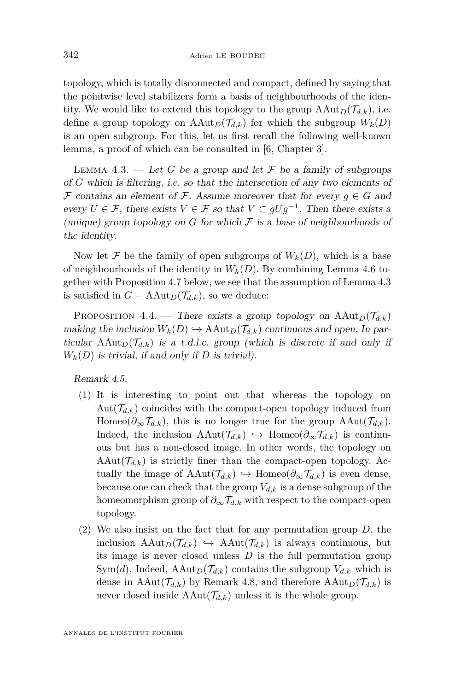topology, which is totally disconnected and compact, defined by saying that the pointwise level stabilizers form a basis of neighbourhoods of the identity. We would like to extend this topology to the group  $\text{AAut}_D(\mathcal{T}_{d,k}),$  i.e. define a group topology on  $\text{AAut}_D(\mathcal{T}_{d,k})$  for which the subgroup  $W_k(D)$ is an open subgroup. For this, let us first recall the following well-known lemma, a proof of which can be consulted in [\[6,](#page-36-16) Chapter 3].

<span id="page-14-0"></span>LEMMA 4.3. — Let *G* be a group and let  $\mathcal F$  be a family of subgroups of *G* which is filtering, i.e. so that the intersection of any two elements of F contains an element of F. Assume moreover that for every  $g \in G$  and every  $U \in \mathcal{F}$ , there exists  $V \in \mathcal{F}$  so that  $V \subset gUg^{-1}$ . Then there exists a (unique) group topology on  $G$  for which  $F$  is a base of neighbourhoods of the identity.

Now let  $\mathcal F$  be the family of open subgroups of  $W_k(D)$ , which is a base of neighbourhoods of the identity in  $W_k(D)$ . By combining Lemma [4.6](#page-15-0) together with Proposition [4.7](#page-15-1) below, we see that the assumption of Lemma [4.3](#page-14-0) is satisfied in  $G = \text{AAut}_D(\mathcal{T}_{d,k})$ , so we deduce:

PROPOSITION 4.4. — There exists a group topology on  $\text{AAut}_D(\mathcal{T}_{d,k})$ making the inclusion  $W_k(D) \hookrightarrow \text{AAut}_D(\mathcal{T}_{d,k})$  continuous and open. In particular  $\text{AAut}_D(\mathcal{T}_{d,k})$  is a t.d.l.c. group (which is discrete if and only if  $W_k(D)$  is trivial, if and only if *D* is trivial).

Remark 4.5.

- (1) It is interesting to point out that whereas the topology on  $Aut(\mathcal{T}_{d,k})$  coincides with the compact-open topology induced from Homeo( $\partial_{\infty}$  $\mathcal{T}_{d,k}$ ), this is no longer true for the group AAut( $\mathcal{T}_{d,k}$ ). Indeed, the inclusion  $AAut(\mathcal{T}_{d,k}) \hookrightarrow \text{Homeo}(\partial_{\infty}\mathcal{T}_{d,k})$  is continuous but has a non-closed image. In other words, the topology on  $\text{AAut}(\mathcal{T}_{d,k})$  is strictly finer than the compact-open topology. Actually the image of  $AAut(\mathcal{T}_{d,k}) \hookrightarrow \text{Homeo}(\partial_{\infty} \mathcal{T}_{d,k})$  is even dense, because one can check that the group  $V_{d,k}$  is a dense subgroup of the homeomorphism group of  $\partial_{\infty} \mathcal{T}_{d,k}$  with respect to the compact-open topology.
- (2) We also insist on the fact that for any permutation group *D*, the inclusion  $\text{AAut}_D(\mathcal{T}_{d,k}) \hookrightarrow \text{AAut}(\mathcal{T}_{d,k})$  is always continuous, but its image is never closed unless *D* is the full permutation group Sym(*d*). Indeed, AAut<sub>*D*</sub>( $\mathcal{T}_{d,k}$ ) contains the subgroup  $V_{d,k}$  which is dense in  $AAut(\mathcal{T}_{d,k})$  by Remark [4.8,](#page-16-0) and therefore  $AAut_D(\mathcal{T}_{d,k})$  is never closed inside  $AAut(\mathcal{T}_{d,k})$  unless it is the whole group.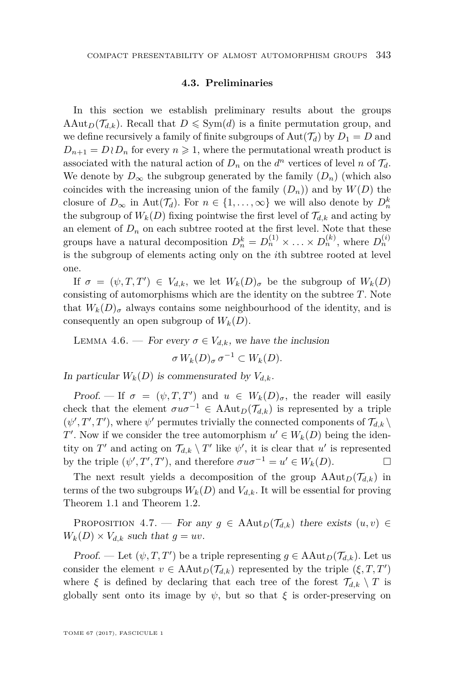#### **4.3. Preliminaries**

<span id="page-15-2"></span>In this section we establish preliminary results about the groups AAut<sub>*D*</sub>( $\mathcal{T}_{d,k}$ ). Recall that  $D \leq \text{Sym}(d)$  is a finite permutation group, and we define recursively a family of finite subgroups of  $Aut(\mathcal{T}_d)$  by  $D_1 = D$  and  $D_{n+1} = D \wr D_n$  for every  $n \geq 1$ , where the permutational wreath product is associated with the natural action of  $D_n$  on the  $d^n$  vertices of level *n* of  $\mathcal{T}_d$ . We denote by  $D_{\infty}$  the subgroup generated by the family  $(D_n)$  (which also coincides with the increasing union of the family  $(D_n)$  and by  $W(D)$  the closure of  $D_{\infty}$  in Aut $(\mathcal{T}_d)$ . For  $n \in \{1, \ldots, \infty\}$  we will also denote by  $D_n^k$ the subgroup of  $W_k(D)$  fixing pointwise the first level of  $\mathcal{T}_{d,k}$  and acting by an element of  $D_n$  on each subtree rooted at the first level. Note that these groups have a natural decomposition  $D_n^k = D_n^{(1)} \times \ldots \times D_n^{(k)}$ , where  $D_n^{(i)}$ is the subgroup of elements acting only on the *i*th subtree rooted at level one.

If  $\sigma = (\psi, T, T') \in V_{d,k}$ , we let  $W_k(D)_{\sigma}$  be the subgroup of  $W_k(D)$ consisting of automorphisms which are the identity on the subtree *T*. Note that  $W_k(D)_{\sigma}$  always contains some neighbourhood of the identity, and is consequently an open subgroup of  $W_k(D)$ .

<span id="page-15-0"></span>LEMMA 4.6. — For every  $\sigma \in V_{d,k}$ , we have the inclusion  $\sigma W_k(D)_{\sigma} \sigma^{-1} \subset W_k(D).$ 

In particular  $W_k(D)$  is commensurated by  $V_{d,k}$ .

Proof. — If  $\sigma = (\psi, T, T')$  and  $u \in W_k(D)_{\sigma}$ , the reader will easily check that the element  $\sigma u \sigma^{-1} \in \text{AAut}_D(\mathcal{T}_{d,k})$  is represented by a triple  $(\psi', T', T')$ , where  $\psi'$  permutes trivially the connected components of  $\mathcal{T}_{d,k} \setminus$ *T*<sup> $\prime$ </sup>. Now if we consider the tree automorphism  $u' \in W_k(D)$  being the identity on  $T'$  and acting on  $\mathcal{T}_{d,k} \setminus T'$  like  $\psi'$ , it is clear that  $u'$  is represented by the triple  $(\psi', T', T')$ , and therefore  $\sigma u \sigma^{-1} = u' \in W_k(D)$ .

The next result yields a decomposition of the group  $\text{AAut}_D(\mathcal{T}_{d,k})$  in terms of the two subgroups  $W_k(D)$  and  $V_{d,k}$ . It will be essential for proving Theorem [1.1](#page-3-0) and Theorem [1.2.](#page-5-0)

<span id="page-15-1"></span>PROPOSITION 4.7. — For any  $g \in \text{AAut}_D(\mathcal{T}_{d,k})$  there exists  $(u, v) \in$  $W_k(D) \times V_{d,k}$  such that  $g = uv$ .

*Proof.* — Let  $(\psi, T, T')$  be a triple representing  $g \in \text{AAut}_D(\mathcal{T}_{d,k})$ . Let us consider the element  $v \in \text{AAut}_D(\mathcal{T}_{d,k})$  represented by the triple  $(\xi, T, T')$ where  $\xi$  is defined by declaring that each tree of the forest  $\mathcal{T}_{d,k} \setminus T$  is globally sent onto its image by  $\psi$ , but so that  $\xi$  is order-preserving on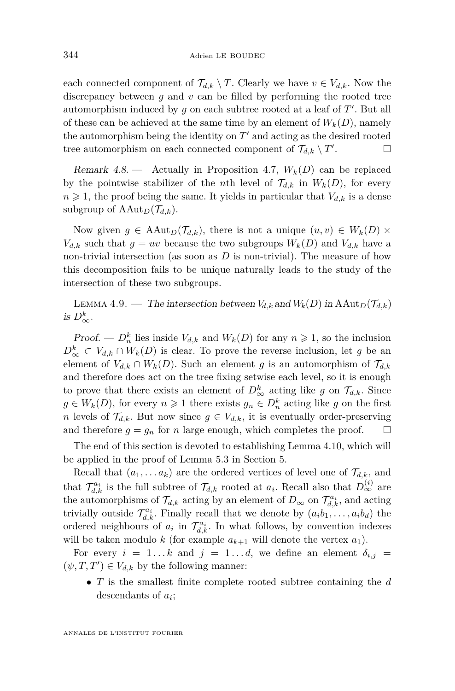each connected component of  $\mathcal{T}_{d,k} \setminus T$ . Clearly we have  $v \in V_{d,k}$ . Now the discrepancy between *g* and *v* can be filled by performing the rooted tree automorphism induced by  $g$  on each subtree rooted at a leaf of  $T'$ . But all of these can be achieved at the same time by an element of  $W_k(D)$ , namely the automorphism being the identity on  $T'$  and acting as the desired rooted tree automorphism on each connected component of  $\mathcal{T}_{d,k} \setminus T'$ . — П

<span id="page-16-0"></span>Remark 4.8. — Actually in Proposition [4.7,](#page-15-1)  $W_k(D)$  can be replaced by the pointwise stabilizer of the *n*th level of  $\mathcal{T}_{d,k}$  in  $W_k(D)$ , for every  $n \geq 1$ , the proof being the same. It yields in particular that  $V_{d,k}$  is a dense subgroup of  $\text{AAut}_D(\mathcal{T}_{d,k})$ .

Now given  $g \in \text{AAut}_D(\mathcal{T}_{d,k})$ , there is not a unique  $(u, v) \in W_k(D) \times$  $V_{d,k}$  such that  $g = uv$  because the two subgroups  $W_k(D)$  and  $V_{d,k}$  have a non-trivial intersection (as soon as *D* is non-trivial). The measure of how this decomposition fails to be unique naturally leads to the study of the intersection of these two subgroups.

<span id="page-16-1"></span>LEMMA 4.9. — The intersection between  $V_{d,k}$  and  $W_k(D)$  in  $\text{AAut}_D(\mathcal{T}_{d,k})$ is  $D^k_{\infty}$ .

*Proof.* —  $D_n^k$  lies inside  $V_{d,k}$  and  $W_k(D)$  for any  $n \ge 1$ , so the inclusion  $D^k_{\infty} \subset V_{d,k} \cap W_k(D)$  is clear. To prove the reverse inclusion, let *g* be an element of  $V_{d,k} \cap W_k(D)$ . Such an element *g* is an automorphism of  $\mathcal{T}_{d,k}$ and therefore does act on the tree fixing setwise each level, so it is enough to prove that there exists an element of  $D^k_{\infty}$  acting like *g* on  $\mathcal{T}_{d,k}$ . Since  $g \in W_k(D)$ , for every  $n \ge 1$  there exists  $g_n \in D_n^k$  acting like *g* on the first *n* levels of  $\mathcal{T}_{d,k}$ . But now since  $g \in V_{d,k}$ , it is eventually order-preserving and therefore  $g = g_n$  for *n* large enough, which completes the proof. and therefore  $g = g_n$  for *n* large enough, which completes the proof.

The end of this section is devoted to establishing Lemma [4.10,](#page-17-1) which will be applied in the proof of Lemma [5.3](#page-19-0) in Section [5.](#page-17-0)

Recall that  $(a_1, \ldots a_k)$  are the ordered vertices of level one of  $\mathcal{T}_{d,k}$ , and that  $\mathcal{T}_{d,k}^{a_i}$  is the full subtree of  $\mathcal{T}_{d,k}$  rooted at  $a_i$ . Recall also that  $D_{\infty}^{(i)}$  are the automorphisms of  $\mathcal{T}_{d,k}$  acting by an element of  $D_{\infty}$  on  $\mathcal{T}_{d,k}^{a_i}$ , and acting trivially outside  $\mathcal{T}_{d,k}^{a_i}$ . Finally recall that we denote by  $(a_i b_1, \ldots, a_i b_d)$  the ordered neighbours of  $a_i$  in  $\mathcal{T}_{d,k}^{a_i}$ . In what follows, by convention indexes will be taken modulo *k* (for example  $a_{k+1}$  will denote the vertex  $a_1$ ).

For every  $i = 1...k$  and  $j = 1...d$ , we define an element  $\delta_{i,j}$  $(\psi, T, T') \in V_{d,k}$  by the following manner:

• *T* is the smallest finite complete rooted subtree containing the *d* descendants of *a<sup>i</sup>* ;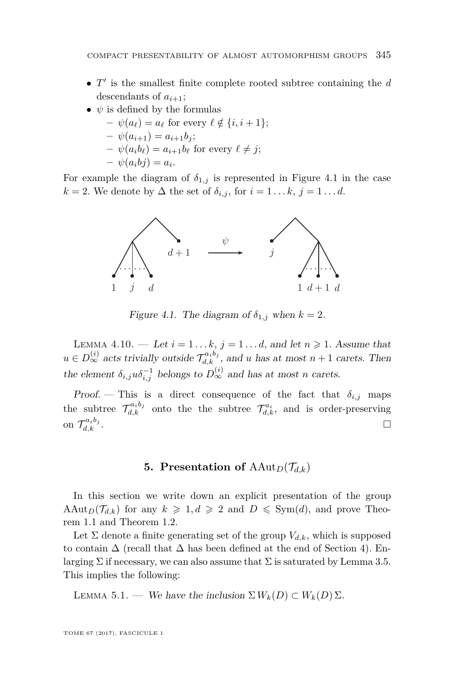- $T'$  is the smallest finite complete rooted subtree containing the  $d$ descendants of  $a_{i+1}$ ;
- $\psi$  is defined by the formulas
	- $-\psi(a_\ell) = a_\ell$  for every  $\ell \notin \{i, i+1\};$
	- $-\psi(a_{i+1}) = a_{i+1}b_i;$
	- $-\psi(a_i b_\ell) = a_{i+1} b_\ell$  for every  $\ell \neq j$ ;
	- $-\psi(a_i b_j) = a_i.$

For example the diagram of  $\delta_{1,j}$  is represented in Figure [4.1](#page-17-2) in the case  $k = 2$ . We denote by  $\Delta$  the set of  $\delta_{i,j}$ , for  $i = 1 \ldots k, j = 1 \ldots d$ .



<span id="page-17-2"></span>Figure 4.1. The diagram of  $\delta_{1,j}$  when  $k = 2$ .

<span id="page-17-1"></span>**TENNA 4.10.** Let  $i = 1...k$ ,  $j = 1...d$ , and it  $i \ge 1$ . Assume that  $u \in D^{(i)}$  acts trivially outside  $T^{a_i b_j}$  and *u* has at most  $n + 1$  carets. Then  $u \in D_{\infty}^{(i)}$  acts trivially outside  $\mathcal{T}_{d,k}^{a_ib_j}$ , and *u* has at most  $n+1$  carets. Then the element  $\delta_{i,j} u \delta_{i,j}^{-1}$  belongs to  $D_{\infty}^{(i)}$  and has at most *n* carets. LEMMA 4.10. — Let  $i = 1...k$ ,  $j = 1...d$ , and let  $n \ge 1$ . Assume that

 $Proof.$  — This is a direct consequence of the fact that  $\delta_{i,j}$  maps  $\tau^{a_i b_j}$  onto the subtree  $\mathcal{T}_{d,k}^{a_i b_j}$  onto the the subtree  $\mathcal{T}_{d,k}^{a_i}$ , and is order-preserving  $\sigma$   $\mathcal{T}_{d,k}^{a_i b_j}$ .  $d_k d_j$  .

#### <span id="page-17-0"></span>denote by Δ the set of *δi,j* , for *i* = 1 *...k*, *j* = 1 *...d*. 1.  $\frac{1}{2}$  (*i*</sup>), *u* ∂ *d*<sub>1</sub> **5. Presentation of**  $\text{AAut}_D(\mathcal{T}_{d,k})$

In this section we write down an explicit presentation of the group  $\text{AAut}_D(\mathcal{T}_{d,k})$  for any  $k \geq 1, d \geq 2$  and  $D \leq \text{Sym}(d)$ , and prove Theorem [1.1](#page-3-0) and Theorem [1.2.](#page-5-0)

*From* 1.1 and Theorem 1.2.<br>Let Σ denote a finite generating set of the group  $V_{d,k}$ , which is supposed  $\alpha$ <sup>*i*</sup> *denote a innee* generating set of the group  $V_{d,k}$ , which is supposed to contain Δ (recall that Δ has been defined at the end of Section [4\)](#page-12-0). Enlarging  $\Sigma$  if necessary, we can also assume that  $\Sigma$  is saturated by Lemma [3.5.](#page-11-0) This implies the following:

<span id="page-17-3"></span> $\mathbf{W}_{\mathcal{F}}$  best the inclusion  $\mathbf{\nabla}\mathbf{W}_{\mathcal{F}}(D) \subset \mathbf{W}_{\mathcal{F}}$ LEMMA 5.1. — We have the inclusion  $\Sigma W_k(D) \subset W_k(D) \Sigma$ .

for any *k* - 1*, d* -TOME 67 (2017), FASCICULE 1 2 and *D* Sym(*d*), and prove Theorem 1.1 and Theorem 1.2.  $\sum_{i=1}^{N}$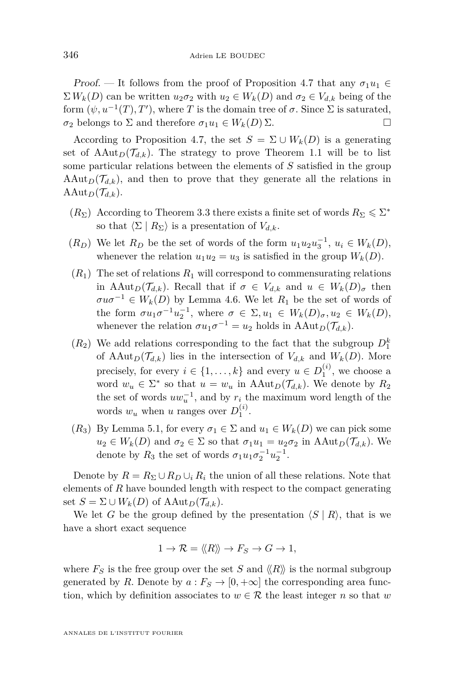Proof. — It follows from the proof of Proposition [4.7](#page-15-1) that any  $\sigma_1 u_1 \in$  $\Sigma W_k(D)$  can be written  $u_2 \sigma_2$  with  $u_2 \in W_k(D)$  and  $\sigma_2 \in V_{d,k}$  being of the form  $(\psi, u^{-1}(T), T')$ , where *T* is the domain tree of  $\sigma$ . Since  $\Sigma$  is saturated, *σ*<sub>2</sub> belongs to Σ and therefore *σ*<sub>1</sub>*u*<sub>1</sub> ∈ *W<sub><i>k*</sub></sub>(*D*) Σ.

According to Proposition [4.7,](#page-15-1) the set  $S = \Sigma \cup W_k(D)$  is a generating set of  $\text{AAut}_D(\mathcal{T}_{d,k})$ . The strategy to prove Theorem [1.1](#page-3-0) will be to list some particular relations between the elements of *S* satisfied in the group  $\text{AAut}_D(\mathcal{T}_{d,k})$ , and then to prove that they generate all the relations in AAut<sub>*D*</sub>( $\mathcal{T}_{d,k}$ ).

- $(R_{\Sigma})$  According to Theorem [3.3](#page-11-1) there exists a finite set of words  $R_{\Sigma} \leq \Sigma^*$ so that  $\langle \Sigma | R_{\Sigma} \rangle$  is a presentation of  $V_{d,k}$ .
- $(R_D)$  We let  $R_D$  be the set of words of the form  $u_1u_2u_3^{-1}$ ,  $u_i \in W_k(D)$ , whenever the relation  $u_1u_2 = u_3$  is satisfied in the group  $W_k(D)$ .
- $(R_1)$  The set of relations  $R_1$  will correspond to commensurating relations in AAut<sub>*D*</sub>( $\mathcal{T}_{d,k}$ ). Recall that if  $\sigma \in V_{d,k}$  and  $u \in W_k(D)_{\sigma}$  then  $\sigma u \sigma^{-1} \in W_k(D)$  by Lemma [4.6.](#page-15-0) We let  $R_1$  be the set of words of the form  $\sigma u_1 \sigma^{-1} u_2^{-1}$ , where  $\sigma \in \Sigma, u_1 \in W_k(D)_{\sigma}, u_2 \in W_k(D)$ , whenever the relation  $\sigma u_1 \sigma^{-1} = u_2$  holds in  $\text{AAut}_D(\mathcal{T}_{d,k})$ .
- $(R_2)$  We add relations corresponding to the fact that the subgroup  $D_1^k$ of  $\text{AAut}_D(\mathcal{T}_{d,k})$  lies in the intersection of  $V_{d,k}$  and  $W_k(D)$ . More precisely, for every  $i \in \{1, ..., k\}$  and every  $u \in D_1^{(i)}$ , we choose a word  $w_u \in \Sigma^*$  so that  $u = w_u$  in  $\text{AAut}_D(\mathcal{T}_{d,k})$ . We denote by  $R_2$ the set of words  $uw_u^{-1}$ , and by  $r_i$  the maximum word length of the words  $w_u$  when *u* ranges over  $D_1^{(i)}$ .
- ( $R_3$ ) By Lemma [5.1,](#page-17-3) for every  $\sigma_1 \in \Sigma$  and  $u_1 \in W_k(D)$  we can pick some  $u_2 \in W_k(D)$  and  $\sigma_2 \in \Sigma$  so that  $\sigma_1 u_1 = u_2 \sigma_2$  in  $\text{AAut}_D(\mathcal{T}_{d,k})$ . We denote by  $R_3$  the set of words  $\sigma_1 u_1 \sigma_2^{-1} u_2^{-1}$ .

Denote by  $R = R_{\Sigma} \cup R_D \cup_i R_i$  the union of all these relations. Note that elements of *R* have bounded length with respect to the compact generating set  $S = \Sigma \cup W_k(D)$  of  $\text{AAut}_D(\mathcal{T}_{d,k}).$ 

We let *G* be the group defined by the presentation  $\langle S | R \rangle$ , that is we have a short exact sequence

$$
1 \to \mathcal{R} = \langle \! \langle R \rangle \! \rangle \to F_S \to G \to 1,
$$

where  $F_S$  is the free group over the set S and  $\langle R \rangle$  is the normal subgroup generated by *R*. Denote by  $a: F_S \to [0, +\infty]$  the corresponding area function, which by definition associates to  $w \in \mathcal{R}$  the least integer *n* so that *w*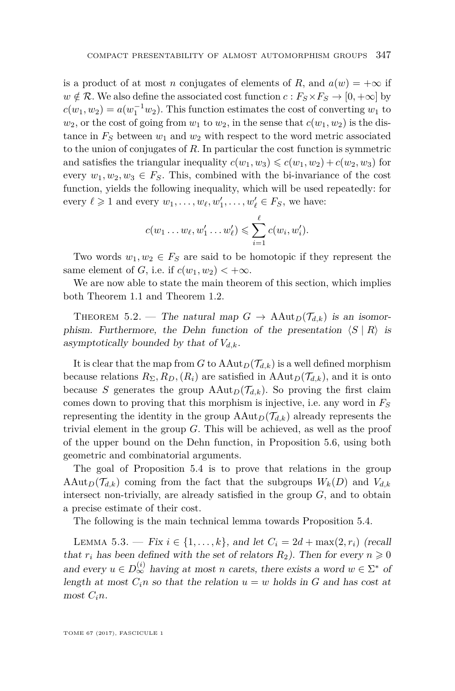is a product of at most *n* conjugates of elements of *R*, and  $a(w) = +\infty$  if  $w \notin \mathcal{R}$ . We also define the associated cost function  $c : F_S \times F_S \to [0, +\infty]$  by  $c(w_1, w_2) = a(w_1^{-1}w_2)$ . This function estimates the cost of converting  $w_1$  to  $w_2$ , or the cost of going from  $w_1$  to  $w_2$ , in the sense that  $c(w_1, w_2)$  is the distance in  $F<sub>S</sub>$  between  $w<sub>1</sub>$  and  $w<sub>2</sub>$  with respect to the word metric associated to the union of conjugates of *R*. In particular the cost function is symmetric and satisfies the triangular inequality  $c(w_1, w_3) \leqslant c(w_1, w_2) + c(w_2, w_3)$  for every  $w_1, w_2, w_3 \in F_S$ . This, combined with the bi-invariance of the cost function, yields the following inequality, which will be used repeatedly: for every  $\ell \geq 1$  and every  $w_1, \ldots, w_\ell, w'_1, \ldots, w'_\ell \in F_S$ , we have:

$$
c(w_1 \ldots w_\ell, w'_1 \ldots w'_\ell) \leqslant \sum_{i=1}^\ell c(w_i, w'_i).
$$

Two words  $w_1, w_2 \in F_S$  are said to be homotopic if they represent the same element of *G*, i.e. if  $c(w_1, w_2) < +\infty$ .

We are now able to state the main theorem of this section, which implies both Theorem [1.1](#page-3-0) and Theorem [1.2.](#page-5-0)

THEOREM 5.2. — The natural map  $G \to \text{AAut}_D(\mathcal{T}_{d,k})$  is an isomorphism. Furthermore, the Dehn function of the presentation  $\langle S | R \rangle$  is asymptotically bounded by that of  $V_{d,k}$ .

It is clear that the map from *G* to  $AAut_D(\mathcal{T}_{d,k})$  is a well defined morphism because relations  $R_{\Sigma}, R_D, (R_i)$  are satisfied in  $\text{AAut}_D(\mathcal{T}_{d,k})$ , and it is onto because *S* generates the group  $AAut_D(\mathcal{T}_{d,k})$ . So proving the first claim comes down to proving that this morphism is injective, i.e. any word in *F<sup>S</sup>* representing the identity in the group  $\text{AAut}_D(\mathcal{T}_{d,k})$  already represents the trivial element in the group *G*. This will be achieved, as well as the proof of the upper bound on the Dehn function, in Proposition [5.6,](#page-23-1) using both geometric and combinatorial arguments.

The goal of Proposition [5.4](#page-21-0) is to prove that relations in the group AAut<sub>*D*</sub>( $\mathcal{T}_{d,k}$ ) coming from the fact that the subgroups  $W_k(D)$  and  $V_{d,k}$ intersect non-trivially, are already satisfied in the group *G*, and to obtain a precise estimate of their cost.

The following is the main technical lemma towards Proposition [5.4.](#page-21-0)

<span id="page-19-0"></span>LEMMA 5.3. − Fix  $i \in \{1, ..., k\}$ , and let  $C_i = 2d + \max(2, r_i)$  (recall that  $r_i$  has been defined with the set of relators  $R_2$ ). Then for every  $n \geq 0$ and every  $u \in D_{\infty}^{(i)}$  having at most *n* carets, there exists a word  $w \in \Sigma^*$  of length at most  $C_i$ <sup>n</sup> so that the relation  $u = w$  holds in G and has cost at most  $C_i$ *n*.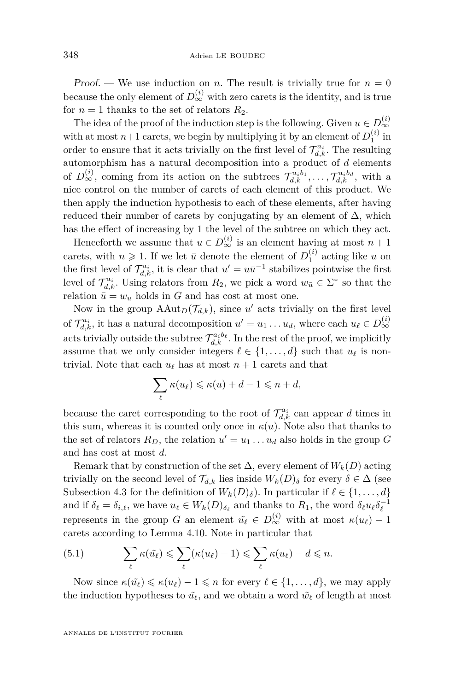Proof. — We use induction on *n*. The result is trivially true for  $n = 0$ because the only element of  $D_{\infty}^{(i)}$  with zero carets is the identity, and is true for  $n = 1$  thanks to the set of relators  $R_2$ .

The idea of the proof of the induction step is the following. Given  $u \in D_{\infty}^{(i)}$ ∞ with at most  $n+1$  carets, we begin by multiplying it by an element of  $D_1^{(i)}$  in order to ensure that it acts trivially on the first level of  $\mathcal{T}_{d,k}^{a_i}$ . The resulting automorphism has a natural decomposition into a product of *d* elements of  $D_{\infty}^{(i)}$ , coming from its action on the subtrees  $\mathcal{T}_{d,k}^{a_ib_1}, \ldots, \mathcal{T}_{d,k}^{a_ib_d}$ , with a nice control on the number of carets of each element of this product. We then apply the induction hypothesis to each of these elements, after having reduced their number of carets by conjugating by an element of  $\Delta$ , which has the effect of increasing by 1 the level of the subtree on which they act.

Henceforth we assume that  $u \in D_{\infty}^{(i)}$  is an element having at most  $n+1$ carets, with  $n \geq 1$ . If we let  $\bar{u}$  denote the element of  $D_1^{(i)}$  acting like *u* on the first level of  $\mathcal{T}_{d,k}^{a_i}$ , it is clear that  $u' = u\bar{u}^{-1}$  stabilizes pointwise the first level of  $\mathcal{T}_{d,k}^{a_i}$ . Using relators from  $R_2$ , we pick a word  $w_{\bar{u}} \in \Sigma^*$  so that the relation  $\bar{u} = w_{\bar{u}}$  holds in *G* and has cost at most one.

Now in the group  $\text{AAut}_D(\mathcal{T}_{d,k})$ , since *u'* acts trivially on the first level of  $\mathcal{T}_{d,k}^{a_i}$ , it has a natural decomposition  $u' = u_1 \dots u_d$ , where each  $u_\ell \in D_{\infty}^{(i)}$ ∞ acts trivially outside the subtree  $\mathcal{T}_{d,k}^{a_ib_\ell}$ . In the rest of the proof, we implicitly assume that we only consider integers  $\ell \in \{1, \ldots, d\}$  such that  $u_{\ell}$  is nontrivial. Note that each  $u_\ell$  has at most  $n + 1$  carets and that

$$
\sum_{\ell} \kappa(u_{\ell}) \leqslant \kappa(u) + d - 1 \leqslant n + d,
$$

because the caret corresponding to the root of  $\mathcal{T}_{d,k}^{a_i}$  can appear *d* times in this sum, whereas it is counted only once in  $\kappa(u)$ . Note also that thanks to the set of relators  $R_D$ , the relation  $u' = u_1 \ldots u_d$  also holds in the group  $G$ and has cost at most *d*.

Remark that by construction of the set  $\Delta$ , every element of  $W_k(D)$  acting trivially on the second level of  $\mathcal{T}_{d,k}$  lies inside  $W_k(D)_{\delta}$  for every  $\delta \in \Delta$  (see Subsection [4.3](#page-15-2) for the definition of  $W_k(D)_{\delta}$ ). In particular if  $\ell \in \{1, ..., d\}$ and if  $\delta_{\ell} = \delta_{i,\ell}$ , we have  $u_{\ell} \in W_k(D)_{\delta_{\ell}}$  and thanks to  $R_1$ , the word  $\delta_{\ell} u_{\ell} \delta_{\ell}^{-1}$ represents in the group *G* an element  $\tilde{u}_{\ell} \in D_{\infty}^{(i)}$  with at most  $\kappa(u_{\ell}) - 1$ carets according to Lemma [4.10.](#page-17-1) Note in particular that

<span id="page-20-0"></span>(5.1) 
$$
\sum_{\ell} \kappa(\tilde{u_{\ell}}) \leqslant \sum_{\ell} (\kappa(u_{\ell}) - 1) \leqslant \sum_{\ell} \kappa(u_{\ell}) - d \leqslant n.
$$

Now since  $\kappa(\tilde{u}_{\ell}) \leq \kappa(u_{\ell}) - 1 \leq n$  for every  $\ell \in \{1, \ldots, d\}$ , we may apply the induction hypotheses to  $\tilde{u}_{\ell}$ , and we obtain a word  $\tilde{w}_{\ell}$  of length at most

ANNALES DE L'INSTITUT FOURIER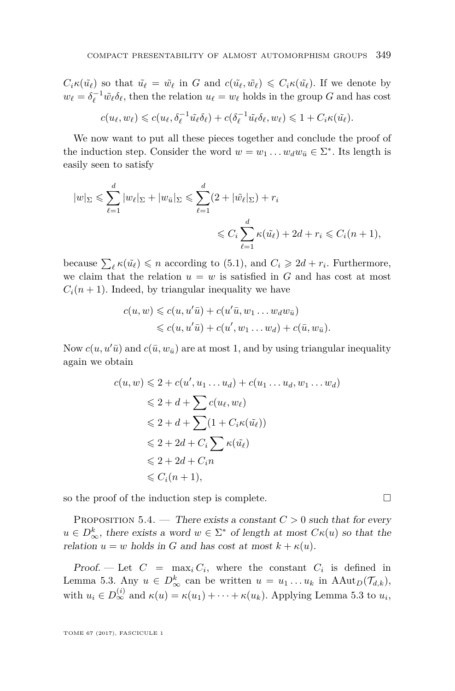$C_i \kappa(\tilde{u}_\ell)$  so that  $\tilde{u}_\ell = \tilde{w}_\ell$  in G and  $c(\tilde{u}_\ell, \tilde{w}_\ell) \leq C_i \kappa(\tilde{u}_\ell)$ . If we denote by  $w_{\ell} = \delta_{\ell}^{-1} \tilde{w}_{\ell} \delta_{\ell}$ , then the relation  $u_{\ell} = w_{\ell}$  holds in the group *G* and has cost

$$
c(u_{\ell}, w_{\ell}) \leqslant c(u_{\ell}, \delta_{\ell}^{-1}\tilde{u}_{\ell}\delta_{\ell}) + c(\delta_{\ell}^{-1}\tilde{u}_{\ell}\delta_{\ell}, w_{\ell}) \leqslant 1 + C_i \kappa(\tilde{u}_{\ell}).
$$

We now want to put all these pieces together and conclude the proof of the induction step. Consider the word  $w = w_1 \dots w_d w_{\bar{u}} \in \Sigma^*$ . Its length is easily seen to satisfy

$$
|w|_{\Sigma} \leqslant \sum_{\ell=1}^{d} |w_{\ell}|_{\Sigma} + |w_{\bar{u}}|_{\Sigma} \leqslant \sum_{\ell=1}^{d} (2 + |\tilde{w}_{\ell}|_{\Sigma}) + r_i
$$
  

$$
\leqslant C_i \sum_{\ell=1}^{d} \kappa(\tilde{u}_{\ell}) + 2d + r_i \leqslant C_i(n+1),
$$

because  $\sum_{\ell} \kappa(\tilde{u}_{\ell}) \leq n$  according to [\(5.1\)](#page-20-0), and  $C_i \geq 2d + r_i$ . Furthermore, we claim that the relation  $u = w$  is satisfied in  $G$  and has cost at most  $C_i(n+1)$ . Indeed, by triangular inequality we have

$$
c(u, w) \leqslant c(u, u'\bar{u}) + c(u'\bar{u}, w_1 \dots w_d w_{\bar{u}})
$$
  

$$
\leqslant c(u, u'\bar{u}) + c(u', w_1 \dots w_d) + c(\bar{u}, w_{\bar{u}}).
$$

Now  $c(u, u'\bar{u})$  and  $c(\bar{u}, w_{\bar{u}})$  are at most 1, and by using triangular inequality again we obtain

$$
c(u, w) \leq 2 + c(u', u_1 \dots u_d) + c(u_1 \dots u_d, w_1 \dots w_d)
$$
  
\n
$$
\leq 2 + d + \sum c(u_{\ell}, w_{\ell})
$$
  
\n
$$
\leq 2 + d + \sum (1 + C_i \kappa(\tilde{u}_{\ell}))
$$
  
\n
$$
\leq 2 + 2d + C_i \sum \kappa(\tilde{u}_{\ell})
$$
  
\n
$$
\leq 2 + 2d + C_i n
$$
  
\n
$$
\leq C_i (n + 1),
$$

so the proof of the induction step is complete.  $\Box$ 

<span id="page-21-0"></span>PROPOSITION 5.4. — There exists a constant  $C > 0$  such that for every  $u \in D^k_{\infty}$ , there exists a word  $w \in \Sigma^*$  of length at most  $C\kappa(u)$  so that the relation  $u = w$  holds in *G* and has cost at most  $k + \kappa(u)$ .

Proof. - Let  $C = \max_i C_i$ , where the constant  $C_i$  is defined in Lemma [5.3.](#page-19-0) Any  $u \in D^k_{\infty}$  can be written  $u = u_1 \dots u_k$  in  $\text{AAut}_D(\mathcal{T}_{d,k}),$ with  $u_i \in D_{\infty}^{(i)}$  and  $\kappa(u) = \kappa(u_1) + \cdots + \kappa(u_k)$ . Applying Lemma [5.3](#page-19-0) to  $u_i$ ,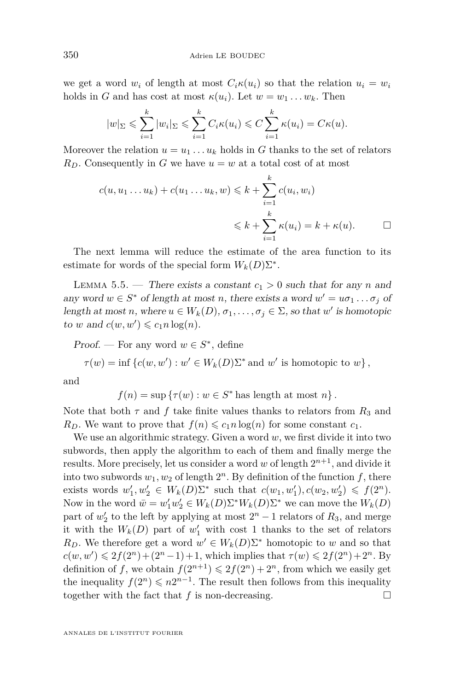we get a word  $w_i$  of length at most  $C_i \kappa(u_i)$  so that the relation  $u_i = w_i$ holds in *G* and has cost at most  $\kappa(u_i)$ . Let  $w = w_1 \dots w_k$ . Then

$$
|w|_{\Sigma} \leqslant \sum_{i=1}^k |w_i|_{\Sigma} \leqslant \sum_{i=1}^k C_i \kappa(u_i) \leqslant C \sum_{i=1}^k \kappa(u_i) = C \kappa(u).
$$

Moreover the relation  $u = u_1 \ldots u_k$  holds in *G* thanks to the set of relators  $R_D$ . Consequently in *G* we have  $u = w$  at a total cost of at most

$$
c(u, u_1 \dots u_k) + c(u_1 \dots u_k, w) \leq k + \sum_{i=1}^k c(u_i, w_i)
$$
  
 
$$
\leq k + \sum_{i=1}^k \kappa(u_i) = k + \kappa(u). \qquad \Box
$$

The next lemma will reduce the estimate of the area function to its estimate for words of the special form  $W_k(D)\Sigma^*$ .

<span id="page-22-0"></span>LEMMA 5.5. — There exists a constant  $c_1 > 0$  such that for any *n* and any word  $w \in S^*$  of length at most *n*, there exists a word  $w' = u\sigma_1 \dots \sigma_j$  of length at most *n*, where  $u \in W_k(D)$ ,  $\sigma_1, \ldots, \sigma_j \in \Sigma$ , so that  $w'$  is homotopic to *w* and  $c(w, w') \leqslant c_1 n \log(n)$ .

Proof. — For any word  $w \in S^*$ , define

 $\tau(w) = \inf \{c(w, w') : w' \in W_k(D)\Sigma^* \text{ and } w' \text{ is homotopic to } w\},\$ 

and

 $f(n) = \sup \{ \tau(w) : w \in S^* \text{ has length at most } n \}.$ 

Note that both  $\tau$  and  $f$  take finite values thanks to relators from  $R_3$  and *R*<sub>*D*</sub>. We want to prove that  $f(n) \leq c_1 n \log(n)$  for some constant  $c_1$ .

We use an algorithmic strategy. Given a word *w*, we first divide it into two subwords, then apply the algorithm to each of them and finally merge the results. More precisely, let us consider a word w of length  $2^{n+1}$ , and divide it into two subwords  $w_1, w_2$  of length  $2^n$ . By definition of the function  $f$ , there exists words  $w'_1, w'_2 \in W_k(D)\Sigma^*$  such that  $c(w_1, w'_1), c(w_2, w'_2) \leq f(2^n)$ . Now in the word  $\bar{w} = w'_1 w'_2 \in W_k(D) \Sigma^* W_k(D) \Sigma^*$  we can move the  $W_k(D)$ part of  $w_2'$  to the left by applying at most  $2^n - 1$  relators of  $R_3$ , and merge it with the  $W_k(D)$  part of  $w'_1$  with cost 1 thanks to the set of relators *R*<sub>*D*</sub>. We therefore get a word  $w' \in W_k(D)\Sigma^*$  homotopic to *w* and so that  $c(w, w') \leq 2f(2^n) + (2^n - 1) + 1$ , which implies that  $\tau(w) \leq 2f(2^n) + 2^n$ . By definition of *f*, we obtain  $f(2^{n+1}) \leq 2f(2^n) + 2^n$ , from which we easily get the inequality  $f(2^n) \leq n2^{n-1}$ . The result then follows from this inequality together with the fact that  $f$  is non-decreasing.  $\Box$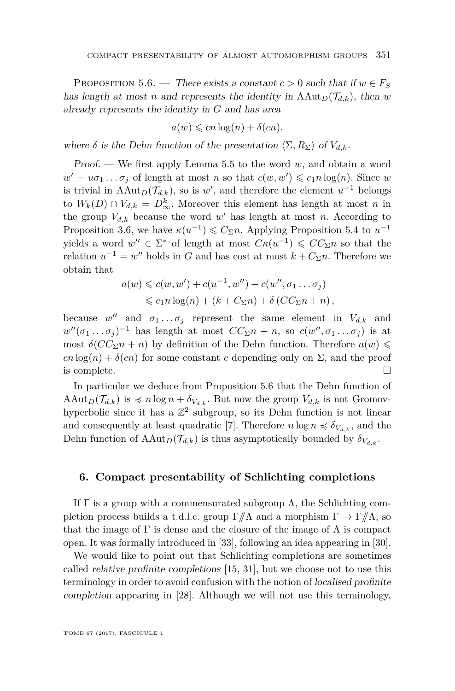<span id="page-23-1"></span>PROPOSITION 5.6. — There exists a constant  $c > 0$  such that if  $w \in F_S$ has length at most *n* and represents the identity in  $\text{AAut}_D(\mathcal{T}_{d,k})$ , then *w* already represents the identity in *G* and has area

$$
a(w) \leqslant cn \log(n) + \delta(cn),
$$

where  $\delta$  is the Dehn function of the presentation  $\langle \Sigma, R_{\Sigma} \rangle$  of  $V_{d,k}$ .

Proof. — We first apply Lemma [5.5](#page-22-0) to the word *w*, and obtain a word  $w' = u\sigma_1 \dots \sigma_j$  of length at most *n* so that  $c(w, w') \leqslant c_1 n \log(n)$ . Since *w* is trivial in AAut<sub>*D*</sub>( $\mathcal{T}_{d,k}$ ), so is *w*', and therefore the element *u*<sup>-1</sup> belongs to  $W_k(D) \cap V_{d,k} = D^k_{\infty}$ . Moreover this element has length at most *n* in the group  $V_{d,k}$  because the word  $w'$  has length at most *n*. According to Proposition [3.6,](#page-12-1) we have  $\kappa(u^{-1}) \leq C_{\Sigma}n$ . Applying Proposition [5.4](#page-21-0) to  $u^{-1}$ yields a word  $w'' \in \Sigma^*$  of length at most  $C\kappa(u^{-1}) \leqslant CC_{\Sigma}n$  so that the relation  $u^{-1} = w''$  holds in *G* and has cost at most  $k + C_{\Sigma}n$ . Therefore we obtain that

$$
a(w) \leq c(w, w') + c(u^{-1}, w'') + c(w'', \sigma_1 \dots \sigma_j)
$$
  

$$
\leq c_1 n \log(n) + (k + C_{\Sigma} n) + \delta (CC_{\Sigma} n + n),
$$

because  $w''$  and  $\sigma_1 \dots \sigma_j$  represent the same element in  $V_{d,k}$  and  $w''(\sigma_1 \ldots \sigma_j)^{-1}$  has length at most  $CC_{\Sigma}n + n$ , so  $c(w'', \sigma_1 \ldots \sigma_j)$  is at most  $\delta (CC_{\Sigma} n + n)$  by definition of the Dehn function. Therefore  $a(w) \leq$  $cn \log(n) + \delta(cn)$  for some constant *c* depending only on  $\Sigma$ , and the proof is complete.  $\Box$ 

In particular we deduce from Proposition [5.6](#page-23-1) that the Dehn function of AAut<sub>*D*</sub>( $\mathcal{T}_{d,k}$ ) is  $\preccurlyeq n$  log  $n + \delta_{V_{d,k}}$ . But now the group  $V_{d,k}$  is not Gromovhyperbolic since it has a  $\mathbb{Z}^2$  subgroup, so its Dehn function is not linear and consequently at least quadratic [\[7\]](#page-36-7). Therefore  $n \log n \preccurlyeq \delta_{V_{d,k}}$ , and the Dehn function of  $AAut_D(\mathcal{T}_{d,k})$  is thus asymptotically bounded by  $\delta_{V_{d,k}}$ .

#### <span id="page-23-0"></span>**6. Compact presentability of Schlichting completions**

If  $\Gamma$  is a group with a commensurated subgroup  $\Lambda$ , the Schlichting completion process builds a t.d.l.c. group Γ*//*Λ and a morphism Γ → Γ*//*Λ, so that the image of  $\Gamma$  is dense and the closure of the image of  $\Lambda$  is compact open. It was formally introduced in [\[33\]](#page-37-6), following an idea appearing in [\[30\]](#page-37-7).

We would like to point out that Schlichting completions are sometimes called relative profinite completions [\[15,](#page-36-17) [31\]](#page-37-8), but we choose not to use this terminology in order to avoid confusion with the notion of localised profinite completion appearing in [\[28\]](#page-37-9). Although we will not use this terminology,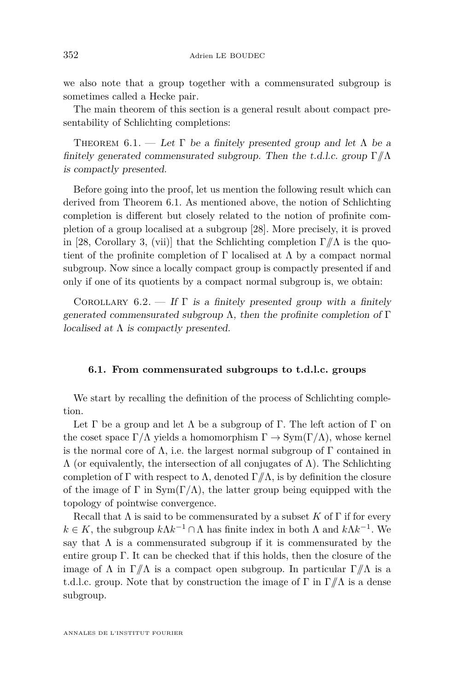we also note that a group together with a commensurated subgroup is sometimes called a Hecke pair.

The main theorem of this section is a general result about compact presentability of Schlichting completions:

<span id="page-24-0"></span>THEOREM 6.1. — Let  $\Gamma$  be a finitely presented group and let  $\Lambda$  be a finitely generated commensurated subgroup. Then the t.d.l.c. group Γ*//*Λ is compactly presented.

Before going into the proof, let us mention the following result which can derived from Theorem [6.1.](#page-24-0) As mentioned above, the notion of Schlichting completion is different but closely related to the notion of profinite completion of a group localised at a subgroup [\[28\]](#page-37-9). More precisely, it is proved in [\[28,](#page-37-9) Corollary 3, (vii)] that the Schlichting completion  $\Gamma/\!\!/ \Lambda$  is the quotient of the profinite completion of  $\Gamma$  localised at  $\Lambda$  by a compact normal subgroup. Now since a locally compact group is compactly presented if and only if one of its quotients by a compact normal subgroup is, we obtain:

COROLLARY  $6.2.$  — If  $\Gamma$  is a finitely presented group with a finitely generated commensurated subgroup  $\Lambda$ , then the profinite completion of  $\Gamma$ localised at  $\Lambda$  is compactly presented.

#### **6.1. From commensurated subgroups to t.d.l.c. groups**

We start by recalling the definition of the process of Schlichting completion.

Let  $\Gamma$  be a group and let  $\Lambda$  be a subgroup of  $\Gamma$ . The left action of  $\Gamma$  on the coset space  $\Gamma/\Lambda$  yields a homomorphism  $\Gamma \to \text{Sym}(\Gamma/\Lambda)$ , whose kernel is the normal core of  $\Lambda$ , i.e. the largest normal subgroup of  $\Gamma$  contained in Λ (or equivalently, the intersection of all conjugates of Λ). The Schlichting completion of Γ with respect to  $\Lambda$ , denoted  $\Gamma/\!\!/ \Lambda$ , is by definition the closure of the image of  $\Gamma$  in  $Sym(\Gamma/\Lambda)$ , the latter group being equipped with the topology of pointwise convergence.

Recall that  $\Lambda$  is said to be commensurated by a subset  $K$  of  $\Gamma$  if for every  $k \in K$ , the subgroup  $k \Lambda k^{-1} \cap \Lambda$  has finite index in both  $\Lambda$  and  $k \Lambda k^{-1}$ . We say that  $\Lambda$  is a commensurated subgroup if it is commensurated by the entire group Γ. It can be checked that if this holds, then the closure of the image of  $\Lambda$  in  $\Gamma/\!\!/ \Lambda$  is a compact open subgroup. In particular  $\Gamma/\!\!/ \Lambda$  is a t.d.l.c. group. Note that by construction the image of Γ in Γ*//*Λ is a dense subgroup.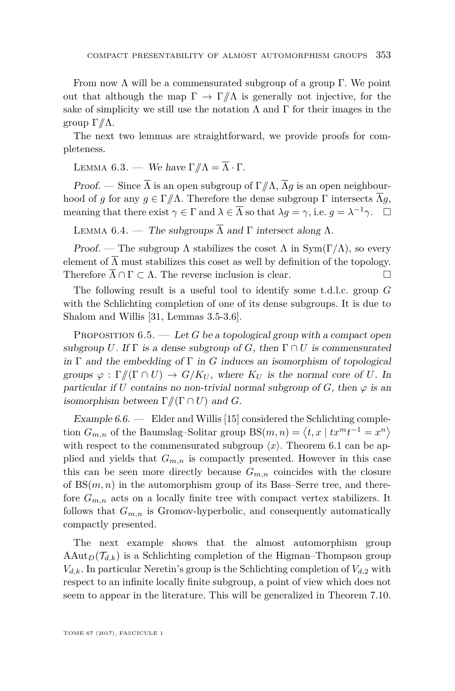From now  $\Lambda$  will be a commensurated subgroup of a group  $\Gamma$ . We point out that although the map  $\Gamma \to \Gamma/\!\!/ \Lambda$  is generally not injective, for the sake of simplicity we still use the notation  $\Lambda$  and  $\Gamma$  for their images in the group Γ*//*Λ.

The next two lemmas are straightforward, we provide proofs for completeness.

<span id="page-25-1"></span>LEMMA 6.3. — We have  $\Gamma/\!\!/ \Lambda = \overline{\Lambda} \cdot \Gamma$ .

Proof. — Since  $\overline{\Lambda}$  is an open subgroup of  $\Gamma/\!\!/ \Lambda$ ,  $\overline{\Lambda}q$  is an open neighbourhood of *g* for any  $g \in \Gamma/\!\!/ \Lambda$ . Therefore the dense subgroup  $\Gamma$  intersects  $\overline{\Lambda}g$ , meaning that there exist  $\gamma \in \Gamma$  and  $\lambda \in \overline{\Lambda}$  so that  $\lambda g = \gamma$ , i.e.  $g = \lambda^{-1} \gamma$ .  $\Box$ 

<span id="page-25-2"></span>LEMMA 6.4. — The subgroups  $\overline{\Lambda}$  and  $\Gamma$  intersect along  $\Lambda$ .

Proof. — The subgroup  $\Lambda$  stabilizes the coset  $\Lambda$  in  $Sym(\Gamma/\Lambda)$ , so every element of  $\overline{\Lambda}$  must stabilizes this coset as well by definition of the topology. Therefore  $\Lambda \cap \Gamma \subset \Lambda$ . The reverse inclusion is clear.

The following result is a useful tool to identify some t.d.l.c. group *G* with the Schlichting completion of one of its dense subgroups. It is due to Shalom and Willis [\[31,](#page-37-8) Lemmas 3.5-3.6].

<span id="page-25-0"></span>PROPOSITION 6.5. — Let *G* be a topological group with a compact open subgroup *U*. If  $\Gamma$  is a dense subgroup of *G*, then  $\Gamma \cap U$  is commensurated in  $\Gamma$  and the embedding of  $\Gamma$  in *G* induces an isomorphism of topological groups  $\varphi : \Gamma / \Gamma \cap U$   $\to G/K_U$ , where  $K_U$  is the normal core of U. In particular if *U* contains no non-trivial normal subgroup of *G*, then  $\varphi$  is an isomorphism between  $\Gamma/\hspace{-3pt}/(\Gamma \cap U)$  and *G*.

Example  $6.6.$  — Elder and Willis [\[15\]](#page-36-17) considered the Schlichting completion  $G_{m,n}$  of the Baumslag–Solitar group  $BS(m,n) = \langle t, x \mid tx^m t^{-1} = x^n \rangle$ with respect to the commensurated subgroup  $\langle x \rangle$ . Theorem [6.1](#page-24-0) can be applied and yields that  $G_{m,n}$  is compactly presented. However in this case this can be seen more directly because  $G_{m,n}$  coincides with the closure of  $BS(m, n)$  in the automorphism group of its Bass–Serre tree, and therefore  $G_{m,n}$  acts on a locally finite tree with compact vertex stabilizers. It follows that  $G_{m,n}$  is Gromov-hyperbolic, and consequently automatically compactly presented.

The next example shows that the almost automorphism group  $\text{AAut}_D(\mathcal{T}_{d,k})$  is a Schlichting completion of the Higman–Thompson group  $V_{d,k}$ . In particular Neretin's group is the Schlichting completion of  $V_{d,2}$  with respect to an infinite locally finite subgroup, a point of view which does not seem to appear in the literature. This will be generalized in Theorem [7.10.](#page-32-0)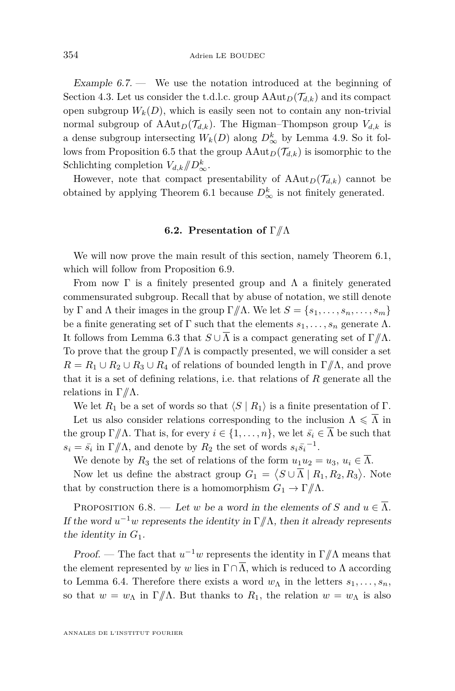Example  $6.7.$  We use the notation introduced at the beginning of Section [4.3.](#page-15-2) Let us consider the t.d.l.c. group  $\text{AAut}_D(\mathcal{T}_{d,k})$  and its compact open subgroup  $W_k(D)$ , which is easily seen not to contain any non-trivial normal subgroup of  $AAut_D(\mathcal{T}_{d,k})$ . The Higman–Thompson group  $V_{d,k}$  is a dense subgroup intersecting  $W_k(D)$  along  $D^k_{\infty}$  by Lemma [4.9.](#page-16-1) So it fol-lows from Proposition [6.5](#page-25-0) that the group  $AAut_D(\mathcal{T}_{d,k})$  is isomorphic to the Schlichting completion  $V_{d,k}/\!\!/D^k_{\infty}$ .

However, note that compact presentability of  $\text{AAut}_D(\mathcal{T}_{d,k})$  cannot be obtained by applying Theorem [6.1](#page-24-0) because  $D^k_{\infty}$  is not finitely generated.

#### **6.2. Presentation of** Γ*//*Λ

We will now prove the main result of this section, namely Theorem [6.1,](#page-24-0) which will follow from Proposition [6.9.](#page-27-1)

From now  $\Gamma$  is a finitely presented group and  $\Lambda$  a finitely generated commensurated subgroup. Recall that by abuse of notation, we still denote by Γ and Λ their images in the group  $\Gamma/\!\!/$ Λ. We let  $S = \{s_1, \ldots, s_n, \ldots, s_m\}$ be a finite generating set of  $\Gamma$  such that the elements  $s_1, \ldots, s_n$  generate  $\Lambda$ . It follows from Lemma [6.3](#page-25-1) that  $S \cup \overline{\Lambda}$  is a compact generating set of  $\Gamma/\!\!/ \Lambda$ . To prove that the group  $\Gamma/\!\!/ \Lambda$  is compactly presented, we will consider a set  $R = R_1 \cup R_2 \cup R_3 \cup R_4$  of relations of bounded length in  $\Gamma/\!\!/ \Lambda$ , and prove that it is a set of defining relations, i.e. that relations of *R* generate all the relations in Γ*//*Λ.

We let  $R_1$  be a set of words so that  $\langle S | R_1 \rangle$  is a finite presentation of Γ.

Let us also consider relations corresponding to the inclusion  $\Lambda \leq \overline{\Lambda}$  in the group  $\Gamma/\!\!/ \Lambda$ . That is, for every  $i \in \{1, \ldots, n\}$ , we let  $\bar{s_i} \in \overline{\Lambda}$  be such that  $s_i = \bar{s}_i$  in  $\Gamma/\!\!/ \Lambda$ , and denote by  $R_2$  the set of words  $s_i \bar{s}_i^{-1}$ .

We denote by  $R_3$  the set of relations of the form  $u_1u_2 = u_3, u_i \in \Lambda$ .

Now let us define the abstract group  $G_1 = \langle S \cup \overline{\Lambda} \mid R_1, R_2, R_3 \rangle$ . Note that by construction there is a homomorphism  $G_1 \to \Gamma/\!\!/ \Lambda$ .

<span id="page-26-0"></span>PROPOSITION 6.8. — Let *w* be a word in the elements of *S* and  $u \in \overline{\Lambda}$ . If the word  $u^{-1}w$  represents the identity in  $\Gamma/\!\!/ \Lambda$ , then it already represents the identity in *G*1.

*Proof.* — The fact that  $u^{-1}w$  represents the identity in  $\Gamma/\!\!/ \Lambda$  means that the element represented by *w* lies in  $\Gamma \cap \overline{\Lambda}$ , which is reduced to  $\Lambda$  according to Lemma [6.4.](#page-25-2) Therefore there exists a word  $w_{\Lambda}$  in the letters  $s_1, \ldots, s_n$ , so that  $w = w_\Lambda$  in  $\Gamma/\!\!/ \Lambda$ . But thanks to  $R_1$ , the relation  $w = w_\Lambda$  is also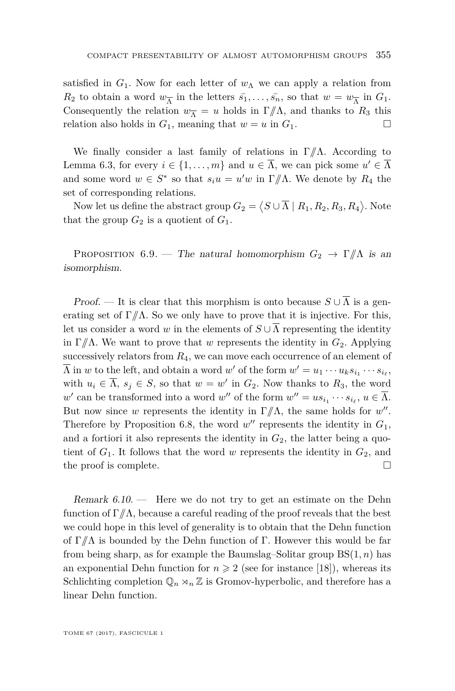satisfied in  $G_1$ . Now for each letter of  $w_\Lambda$  we can apply a relation from  $R_2$  to obtain a word  $w_{\overline{\Lambda}}$  in the letters  $\bar{s}_1, \ldots, \bar{s}_n$ , so that  $w = w_{\overline{\Lambda}}$  in  $G_1$ . Consequently the relation  $w_{\overline{\Lambda}} = u$  holds in  $\Gamma/\!\!/ \Lambda$ , and thanks to  $R_3$  this relation also holds in  $G_1$ , meaning that  $w = u$  in  $G_1$ .

We finally consider a last family of relations in Γ*//*Λ. According to Lemma [6.3,](#page-25-1) for every  $i \in \{1, ..., m\}$  and  $u \in \Lambda$ , we can pick some  $u' \in \Lambda$ and some word  $w \in S^*$  so that  $s_i u = u'w$  in  $\Gamma/\!\!/ \Lambda$ . We denote by  $R_4$  the set of corresponding relations.

Now let us define the abstract group  $G_2 = \langle S \cup \overline{\Lambda} \mid R_1, R_2, R_3, R_4 \rangle$ . Note that the group  $G_2$  is a quotient of  $G_1$ .

<span id="page-27-1"></span>PROPOSITION 6.9. — The natural homomorphism  $G_2 \rightarrow \Gamma/\!\!/ \Lambda$  is an isomorphism.

Proof. — It is clear that this morphism is onto because  $S \cup \Lambda$  is a generating set of  $\Gamma/\!\!/ \Lambda$ . So we only have to prove that it is injective. For this, let us consider a word *w* in the elements of  $S \cup \overline{\Lambda}$  representing the identity in Γ//Λ. We want to prove that *w* represents the identity in  $G_2$ . Applying successively relators from  $R_4$ , we can move each occurrence of an element of  $\Lambda$  in *w* to the left, and obtain a word *w*<sup>'</sup> of the form  $w' = u_1 \cdots u_k s_{i_1} \cdots s_{i_\ell}$ , with  $u_i \in \Lambda$ ,  $s_j \in S$ , so that  $w = w'$  in  $G_2$ . Now thanks to  $R_3$ , the word  $w'$  can be transformed into a word  $w''$  of the form  $w'' = us_{i_1} \cdots s_{i_\ell}, u \in \Lambda$ . But now since *w* represents the identity in  $\Gamma/\!\!/ \Lambda$ , the same holds for *w''*. Therefore by Proposition [6.8,](#page-26-0) the word  $w''$  represents the identity in  $G_1$ , and a fortiori it also represents the identity in  $G_2$ , the latter being a quotient of  $G_1$ . It follows that the word *w* represents the identity in  $G_2$ , and the proof is complete.

<span id="page-27-0"></span>Remark  $6.10.$  — Here we do not try to get an estimate on the Dehn function of  $\Gamma/\!\!/ \Lambda$ , because a careful reading of the proof reveals that the best we could hope in this level of generality is to obtain that the Dehn function of Γ*//*Λ is bounded by the Dehn function of Γ. However this would be far from being sharp, as for example the Baumslag–Solitar group BS(1*, n*) has an exponential Dehn function for  $n \geq 2$  (see for instance [\[18\]](#page-36-18)), whereas its Schlichting completion  $\mathbb{Q}_n \rtimes_n \mathbb{Z}$  is Gromov-hyperbolic, and therefore has a linear Dehn function.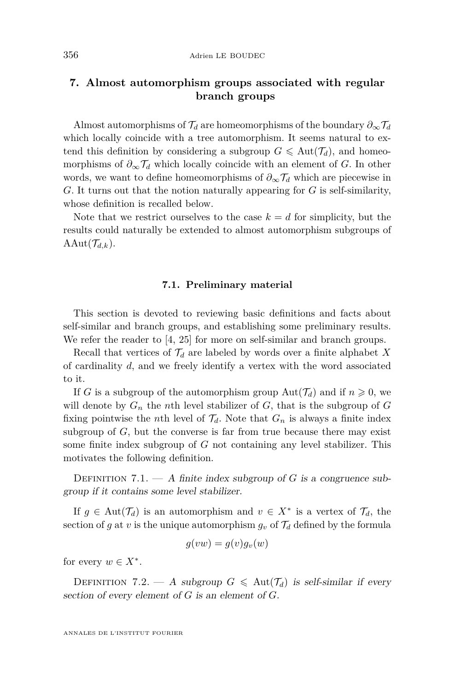#### **7. Almost automorphism groups associated with regular branch groups**

Almost automorphisms of  $\mathcal{T}_d$  are homeomorphisms of the boundary  $\partial_\infty \mathcal{T}_d$ which locally coincide with a tree automorphism. It seems natural to extend this definition by considering a subgroup  $G \leq \text{Aut}(\mathcal{T}_d)$ , and homeomorphisms of  $\partial_{\infty} \mathcal{T}_d$  which locally coincide with an element of *G*. In other words, we want to define homeomorphisms of  $\partial_{\infty} \mathcal{T}_d$  which are piecewise in *G*. It turns out that the notion naturally appearing for *G* is self-similarity, whose definition is recalled below.

Note that we restrict ourselves to the case  $k = d$  for simplicity, but the results could naturally be extended to almost automorphism subgroups of AAut $(\mathcal{T}_{d,k})$ .

#### **7.1. Preliminary material**

This section is devoted to reviewing basic definitions and facts about self-similar and branch groups, and establishing some preliminary results. We refer the reader to [\[4,](#page-36-10) [25\]](#page-37-1) for more on self-similar and branch groups.

Recall that vertices of  $\mathcal{T}_d$  are labeled by words over a finite alphabet X of cardinality *d*, and we freely identify a vertex with the word associated to it.

If *G* is a subgroup of the automorphism group  $Aut(\mathcal{T}_d)$  and if  $n \geq 0$ , we will denote by  $G_n$  the *n*th level stabilizer of  $G$ , that is the subgroup of  $G$ fixing pointwise the *n*th level of  $\mathcal{T}_d$ . Note that  $G_n$  is always a finite index subgroup of *G*, but the converse is far from true because there may exist some finite index subgroup of *G* not containing any level stabilizer. This motivates the following definition.

DEFINITION 7.1. — A finite index subgroup of  $G$  is a congruence subgroup if it contains some level stabilizer.

If  $g \in Aut(\mathcal{T}_d)$  is an automorphism and  $v \in X^*$  is a vertex of  $\mathcal{T}_d$ , the section of *g* at *v* is the unique automorphism  $g_v$  of  $\mathcal{T}_d$  defined by the formula

$$
g(vw) = g(v)g_v(w)
$$

for every  $w \in X^*$ .

DEFINITION 7.2. — A subgroup  $G \leqslant \text{Aut}(\mathcal{T}_d)$  is self-similar if every section of every element of *G* is an element of *G*.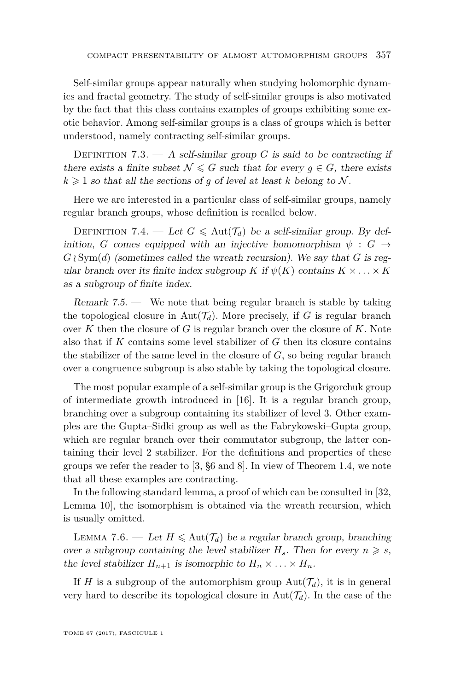Self-similar groups appear naturally when studying holomorphic dynamics and fractal geometry. The study of self-similar groups is also motivated by the fact that this class contains examples of groups exhibiting some exotic behavior. Among self-similar groups is a class of groups which is better understood, namely contracting self-similar groups.

DEFINITION 7.3.  $- A$  self-similar group *G* is said to be contracting if there exists a finite subset  $\mathcal{N} \leq G$  such that for every  $q \in G$ , there exists  $k \geq 1$  so that all the sections of *g* of level at least *k* belong to N.

Here we are interested in a particular class of self-similar groups, namely regular branch groups, whose definition is recalled below.

DEFINITION 7.4. — Let  $G \leqslant \text{Aut}(\mathcal{T}_d)$  be a self-similar group. By definition, *G* comes equipped with an injective homomorphism  $\psi : G \rightarrow$  $G \wr Sym(d)$  (sometimes called the wreath recursion). We say that *G* is regular branch over its finite index subgroup *K* if  $\psi(K)$  contains  $K \times \ldots \times K$ as a subgroup of finite index.

Remark 7.5. — We note that being regular branch is stable by taking the topological closure in  $Aut(\mathcal{T}_d)$ . More precisely, if G is regular branch over *K* then the closure of *G* is regular branch over the closure of *K*. Note also that if *K* contains some level stabilizer of *G* then its closure contains the stabilizer of the same level in the closure of *G*, so being regular branch over a congruence subgroup is also stable by taking the topological closure.

The most popular example of a self-similar group is the Grigorchuk group of intermediate growth introduced in [\[16\]](#page-36-19). It is a regular branch group, branching over a subgroup containing its stabilizer of level 3. Other examples are the Gupta–Sidki group as well as the Fabrykowski–Gupta group, which are regular branch over their commutator subgroup, the latter containing their level 2 stabilizer. For the definitions and properties of these groups we refer the reader to [\[3,](#page-36-20) §6 and 8]. In view of Theorem [1.4,](#page-6-0) we note that all these examples are contracting.

In the following standard lemma, a proof of which can be consulted in [\[32,](#page-37-5) Lemma 10], the isomorphism is obtained via the wreath recursion, which is usually omitted.

<span id="page-29-0"></span>LEMMA 7.6. — Let  $H \leq \text{Aut}(\mathcal{T}_d)$  be a regular branch group, branching over a subgroup containing the level stabilizer  $H_s$ . Then for every  $n \geq s$ , the level stabilizer  $H_{n+1}$  is isomorphic to  $H_n \times \ldots \times H_n$ .

If *H* is a subgroup of the automorphism group  $Aut(\mathcal{T}_d)$ , it is in general very hard to describe its topological closure in  $Aut(\mathcal{T}_d)$ . In the case of the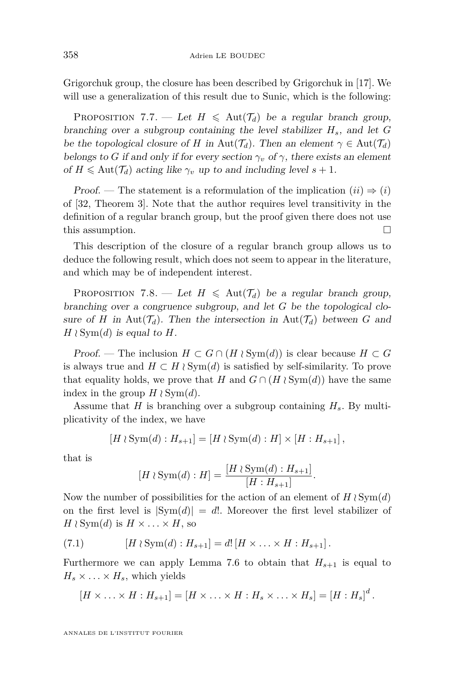Grigorchuk group, the closure has been described by Grigorchuk in [\[17\]](#page-36-21). We will use a generalization of this result due to Sunic, which is the following:

<span id="page-30-1"></span>PROPOSITION 7.7. — Let  $H \leq \text{Aut}(\mathcal{T}_d)$  be a regular branch group, branching over a subgroup containing the level stabilizer *Hs*, and let *G* be the topological closure of *H* in Aut( $\mathcal{T}_d$ ). Then an element  $\gamma \in \text{Aut}(\mathcal{T}_d)$ belongs to *G* if and only if for every section  $\gamma_v$  of  $\gamma$ , there exists an element of  $H \leq \text{Aut}(\mathcal{T}_d)$  acting like  $\gamma_v$  up to and including level  $s + 1$ .

Proof. — The statement is a reformulation of the implication  $(ii) \Rightarrow (i)$ of [\[32,](#page-37-5) Theorem 3]. Note that the author requires level transitivity in the definition of a regular branch group, but the proof given there does not use this assumption.

This description of the closure of a regular branch group allows us to deduce the following result, which does not seem to appear in the literature, and which may be of independent interest.

<span id="page-30-2"></span>PROPOSITION 7.8. — Let  $H \leq \text{Aut}(\mathcal{T}_d)$  be a regular branch group, branching over a congruence subgroup, and let *G* be the topological closure of *H* in Aut $(\mathcal{T}_d)$ . Then the intersection in Aut $(\mathcal{T}_d)$  between *G* and  $H \wr \text{Sym}(d)$  is equal to *H*.

Proof. — The inclusion  $H \subset G \cap (H \wr \text{Sym}(d))$  is clear because  $H \subset G$ is always true and  $H \subset H \wr Sym(d)$  is satisfied by self-similarity. To prove that equality holds, we prove that *H* and  $G \cap (H \wr Sym(d))$  have the same index in the group  $H \wr \text{Sym}(d)$ .

Assume that *H* is branching over a subgroup containing *Hs*. By multiplicativity of the index, we have

$$
[H \wr \mathrm{Sym}(d) : H_{s+1}] = [H \wr \mathrm{Sym}(d) : H] \times [H : H_{s+1}],
$$

that is

$$
[H \wr \mathrm{Sym}(d) : H] = \frac{[H \wr \mathrm{Sym}(d) : H_{s+1}]}{[H : H_{s+1}]}.
$$

Now the number of possibilities for the action of an element of  $H \wr \text{Sym}(d)$ on the first level is  $|\text{Sym}(d)| = d!$ . Moreover the first level stabilizer of  $H \wr \text{Sym}(d)$  is  $H \times \ldots \times H$ , so

<span id="page-30-0"></span>(7.1) 
$$
[H \wr \text{Sym}(d) : H_{s+1}] = d! [H \times ... \times H : H_{s+1}].
$$

Furthermore we can apply Lemma [7.6](#page-29-0) to obtain that  $H_{s+1}$  is equal to  $H_s \times \ldots \times H_s$ , which yields

$$
[H \times \ldots \times H : H_{s+1}] = [H \times \ldots \times H : H_s \times \ldots \times H_s] = [H : H_s]^d.
$$

ANNALES DE L'INSTITUT FOURIER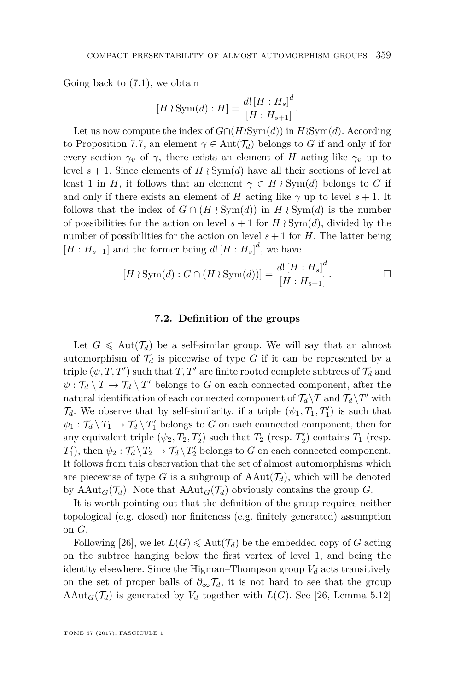Going back to [\(7.1\)](#page-30-0), we obtain

$$
[H \wr \text{Sym}(d) : H] = \frac{d! [H : H_s]^d}{[H : H_{s+1}]}.
$$

Let us now compute the index of  $G \cap (H \wr Sym(d))$  in  $H \wr Sym(d)$ . According to Proposition [7.7,](#page-30-1) an element  $\gamma \in \text{Aut}(\mathcal{T}_d)$  belongs to *G* if and only if for every section  $\gamma_v$  of  $\gamma$ , there exists an element of *H* acting like  $\gamma_v$  up to level  $s + 1$ . Since elements of  $H \wr \mathrm{Sym}(d)$  have all their sections of level at least 1 in *H*, it follows that an element  $\gamma \in H \wr \text{Sym}(d)$  belongs to *G* if and only if there exists an element of *H* acting like  $\gamma$  up to level  $s + 1$ . It follows that the index of  $G \cap (H \wr \mathrm{Sym}(d))$  in  $H \wr \mathrm{Sym}(d)$  is the number of possibilities for the action on level  $s + 1$  for  $H \wr Sym(d)$ , divided by the number of possibilities for the action on level  $s + 1$  for  $H$ . The latter being  $[H:H_{s+1}]$  and the former being  $d!\left[H:H_s\right]^d$ , we have

$$
[H \wr \mathrm{Sym}(d) : G \cap (H \wr \mathrm{Sym}(d))] = \frac{d! [H : H_s]^d}{[H : H_{s+1}]}.
$$

#### **7.2. Definition of the groups**

Let  $G \leq \text{Aut}(\mathcal{T}_d)$  be a self-similar group. We will say that an almost automorphism of  $\mathcal{T}_d$  is piecewise of type G if it can be represented by a triple  $(\psi, T, T')$  such that  $T, T'$  are finite rooted complete subtrees of  $\mathcal{T}_d$  and  $\psi: \mathcal{T}_d \setminus T \to \mathcal{T}_d \setminus T'$  belongs to *G* on each connected component, after the natural identification of each connected component of  $\mathcal{T}_d \backslash T$  and  $\mathcal{T}_d \backslash T'$  with  $\mathcal{T}_d$ . We observe that by self-similarity, if a triple  $(\psi_1, T_1, T'_1)$  is such that  $\psi_1 : \mathcal{T}_d \setminus T_1 \to \mathcal{T}_d \setminus T'_1$  belongs to *G* on each connected component, then for any equivalent triple  $(\psi_2, T_2, T_2')$  such that  $T_2$  (resp.  $T_2'$ ) contains  $T_1$  (resp.  $T_1'$ , then  $\psi_2 : \mathcal{T}_d \backslash T_2 \to \mathcal{T}_d \backslash T_2'$  belongs to *G* on each connected component. It follows from this observation that the set of almost automorphisms which are piecewise of type *G* is a subgroup of  $AAut(\mathcal{T}_d)$ , which will be denoted by  $\text{AAut}_G(\mathcal{T}_d)$ . Note that  $\text{AAut}_G(\mathcal{T}_d)$  obviously contains the group *G*.

It is worth pointing out that the definition of the group requires neither topological (e.g. closed) nor finiteness (e.g. finitely generated) assumption on *G*.

Following [\[26\]](#page-37-4), we let  $L(G) \leq \text{Aut}(\mathcal{T}_d)$  be the embedded copy of *G* acting on the subtree hanging below the first vertex of level 1, and being the identity elsewhere. Since the Higman–Thompson group  $V_d$  acts transitively on the set of proper balls of  $\partial_{\infty} \mathcal{T}_d$ , it is not hard to see that the group AAut<sub>*G*</sub>( $\mathcal{T}_d$ ) is generated by  $V_d$  together with  $L(G)$ . See [\[26,](#page-37-4) Lemma 5.12]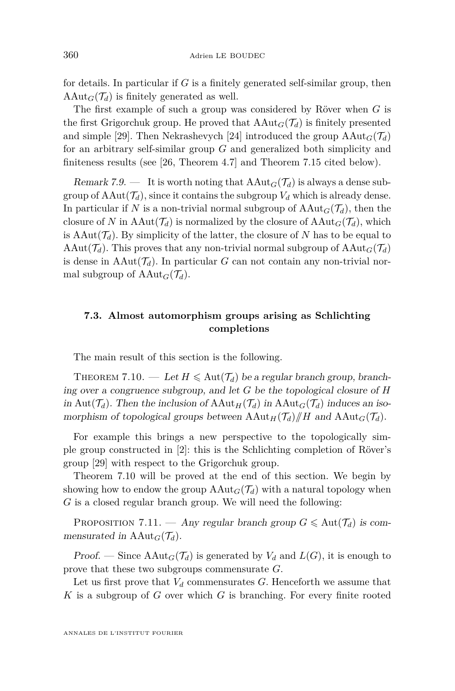for details. In particular if *G* is a finitely generated self-similar group, then  $\text{AAut}_G(\mathcal{T}_d)$  is finitely generated as well.

The first example of such a group was considered by Röver when *G* is the first Grigorchuk group. He proved that  $\text{Aut}_G(\mathcal{T}_d)$  is finitely presented and simple [\[29\]](#page-37-2). Then Nekrashevych [\[24\]](#page-37-3) introduced the group  $\text{AAut}_G(\mathcal{T}_d)$ for an arbitrary self-similar group *G* and generalized both simplicity and finiteness results (see [\[26,](#page-37-4) Theorem 4.7] and Theorem [7.15](#page-35-1) cited below).

<span id="page-32-1"></span>Remark 7.9. — It is worth noting that  $AAut_G(\mathcal{T}_d)$  is always a dense subgroup of  $AAut(\mathcal{T}_d)$ , since it contains the subgroup  $V_d$  which is already dense. In particular if *N* is a non-trivial normal subgroup of  $AAut_G(\mathcal{T}_d)$ , then the closure of *N* in  $AAut(\mathcal{T}_d)$  is normalized by the closure of  $AAut_G(\mathcal{T}_d)$ , which is  $\text{AAut}(\mathcal{T}_d)$ . By simplicity of the latter, the closure of *N* has to be equal to AAut $(\mathcal{T}_d)$ . This proves that any non-trivial normal subgroup of  $\text{AAut}_G(\mathcal{T}_d)$ is dense in  $AAut(\mathcal{T}_d)$ . In particular *G* can not contain any non-trivial normal subgroup of  $\text{AAut}_G(\mathcal{T}_d)$ .

#### **7.3. Almost automorphism groups arising as Schlichting completions**

The main result of this section is the following.

<span id="page-32-0"></span>THEOREM 7.10. — Let  $H \leq \text{Aut}(\mathcal{T}_d)$  be a regular branch group, branching over a congruence subgroup, and let *G* be the topological closure of *H* in Aut $(\mathcal{T}_d)$ . Then the inclusion of  $AAut_H(\mathcal{T}_d)$  in  $AAut_G(\mathcal{T}_d)$  induces an isomorphism of topological groups between  $\text{AAut}_H(\mathcal{T}_d)/H$  and  $\text{AAut}_G(\mathcal{T}_d)$ .

For example this brings a new perspective to the topologically simple group constructed in [\[2\]](#page-36-3): this is the Schlichting completion of Röver's group [\[29\]](#page-37-2) with respect to the Grigorchuk group.

Theorem [7.10](#page-32-0) will be proved at the end of this section. We begin by showing how to endow the group  $AAut_G(\mathcal{T}_d)$  with a natural topology when *G* is a closed regular branch group. We will need the following:

PROPOSITION 7.11. — Any regular branch group  $G \leq \text{Aut}(\mathcal{T}_d)$  is commensurated in  $AAut_G(\mathcal{T}_d)$ .

Proof. — Since  $AAut_G(\mathcal{T}_d)$  is generated by  $V_d$  and  $L(G)$ , it is enough to prove that these two subgroups commensurate *G*.

Let us first prove that  $V_d$  commensurates  $G$ . Henceforth we assume that *K* is a subgroup of *G* over which *G* is branching. For every finite rooted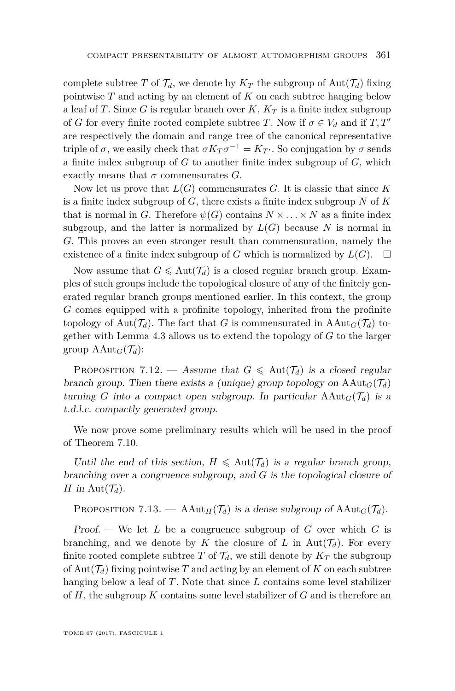complete subtree *T* of  $\mathcal{T}_d$ , we denote by  $K_T$  the subgroup of  $\text{Aut}(\mathcal{T}_d)$  fixing pointwise *T* and acting by an element of *K* on each subtree hanging below a leaf of *T*. Since *G* is regular branch over *K*, *K<sup>T</sup>* is a finite index subgroup of *G* for every finite rooted complete subtree *T*. Now if  $\sigma \in V_d$  and if *T*, *T'* are respectively the domain and range tree of the canonical representative triple of  $\sigma$ , we easily check that  $\sigma K_T \sigma^{-1} = K_{T'}$ . So conjugation by  $\sigma$  sends a finite index subgroup of *G* to another finite index subgroup of *G*, which exactly means that  $\sigma$  commensurates  $G$ .

Now let us prove that  $L(G)$  commensurates  $G$ . It is classic that since  $K$ is a finite index subgroup of *G*, there exists a finite index subgroup *N* of *K* that is normal in *G*. Therefore  $\psi(G)$  contains  $N \times \ldots \times N$  as a finite index subgroup, and the latter is normalized by  $L(G)$  because N is normal in *G*. This proves an even stronger result than commensuration, namely the existence of a finite index subgroup of *G* which is normalized by  $L(G)$ .  $\Box$ 

Now assume that  $G \leq \text{Aut}(\mathcal{T}_d)$  is a closed regular branch group. Examples of such groups include the topological closure of any of the finitely generated regular branch groups mentioned earlier. In this context, the group *G* comes equipped with a profinite topology, inherited from the profinite topology of Aut $(\mathcal{T}_d)$ . The fact that *G* is commensurated in AAut<sub>*G*</sub>( $\mathcal{T}_d$ ) together with Lemma [4.3](#page-14-0) allows us to extend the topology of *G* to the larger group  $\text{AAut}_G(\mathcal{T}_d)$ :

PROPOSITION 7.12. — Assume that  $G \leq \text{Aut}(\mathcal{T}_d)$  is a closed regular branch group. Then there exists a (unique) group topology on  $\text{AAut}_G(\mathcal{T}_d)$ turning *G* into a compact open subgroup. In particular  $AAut_G(\mathcal{T}_d)$  is a t.d.l.c. compactly generated group.

We now prove some preliminary results which will be used in the proof of Theorem [7.10.](#page-32-0)

Until the end of this section,  $H \leq \text{Aut}(\mathcal{T}_d)$  is a regular branch group, branching over a congruence subgroup, and *G* is the topological closure of *H* in Aut $(\mathcal{T}_d)$ .

<span id="page-33-0"></span>PROPOSITION 7.13. — AAut<sub>H</sub>( $\mathcal{T}_d$ ) is a dense subgroup of AAut<sub>*G*</sub>( $\mathcal{T}_d$ ).

Proof. — We let *L* be a congruence subgroup of *G* over which *G* is branching, and we denote by *K* the closure of *L* in  $Aut(\mathcal{T}_d)$ . For every finite rooted complete subtree *T* of  $\mathcal{T}_d$ , we still denote by  $K_T$  the subgroup of  $Aut(\mathcal{T}_d)$  fixing pointwise T and acting by an element of K on each subtree hanging below a leaf of *T*. Note that since *L* contains some level stabilizer of *H*, the subgroup *K* contains some level stabilizer of *G* and is therefore an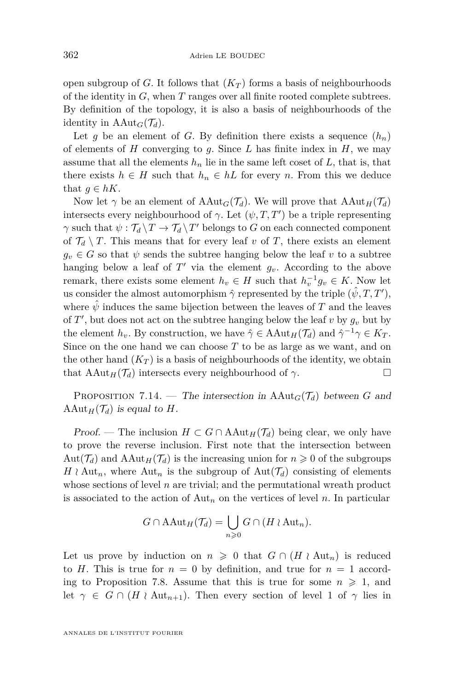open subgroup of *G*. It follows that  $(K_T)$  forms a basis of neighbourhoods of the identity in *G*, when *T* ranges over all finite rooted complete subtrees. By definition of the topology, it is also a basis of neighbourhoods of the identity in  $AAut_G(\mathcal{T}_d)$ .

Let *g* be an element of *G*. By definition there exists a sequence  $(h_n)$ of elements of *H* converging to *g*. Since *L* has finite index in *H*, we may assume that all the elements  $h_n$  lie in the same left coset of  $L$ , that is, that there exists  $h \in H$  such that  $h_n \in hL$  for every *n*. From this we deduce that  $g \in hK$ .

Now let  $\gamma$  be an element of  $AAut_G(\mathcal{T}_d)$ . We will prove that  $AAut_H(\mathcal{T}_d)$ intersects every neighbourhood of  $\gamma$ . Let  $(\psi, T, T')$  be a triple representing *γ* such that  $\psi : \mathcal{T}_d \setminus T \to \mathcal{T}_d \setminus T'$  belongs to *G* on each connected component of  $\mathcal{T}_d \setminus T$ . This means that for every leaf *v* of *T*, there exists an element  $g_v \in G$  so that  $\psi$  sends the subtree hanging below the leaf  $v$  to a subtree hanging below a leaf of  $T'$  via the element  $g_v$ . According to the above remark, there exists some element  $h_v \in H$  such that  $h_v^{-1}g_v \in K$ . Now let us consider the almost automorphism  $\hat{\gamma}$  represented by the triple  $(\hat{\psi}, T, T')$ , where  $\hat{\psi}$  induces the same bijection between the leaves of *T* and the leaves of  $T'$ , but does not act on the subtree hanging below the leaf  $v$  by  $g_v$  but by the element  $h_v$ . By construction, we have  $\hat{\gamma} \in \text{AAut}_H(\mathcal{T}_d)$  and  $\hat{\gamma}^{-1}\gamma \in K_T$ . Since on the one hand we can choose *T* to be as large as we want, and on the other hand  $(K_T)$  is a basis of neighbourhoods of the identity, we obtain that  $\text{AAut}_H(\mathcal{T}_d)$  intersects every neighbourhood of  $\gamma$ .

<span id="page-34-0"></span>PROPOSITION 7.14. — The intersection in  $AAut_G(\mathcal{T}_d)$  between G and AAut $_H(\mathcal{T}_d)$  is equal to *H*.

*Proof.* — The inclusion  $H \subset G \cap \text{AAut}_H(\mathcal{T}_d)$  being clear, we only have to prove the reverse inclusion. First note that the intersection between Aut $(\mathcal{T}_d)$  and AAut $_H(\mathcal{T}_d)$  is the increasing union for  $n \geq 0$  of the subgroups  $H \wr \text{Aut}_n$ , where  $\text{Aut}_n$  is the subgroup of  $\text{Aut}(\mathcal{T}_d)$  consisting of elements whose sections of level *n* are trivial; and the permutational wreath product is associated to the action of  $\text{Aut}_n$  on the vertices of level *n*. In particular

$$
G \cap \mathrm{AAut}_H(\mathcal{T}_d) = \bigcup_{n \geq 0} G \cap (H \wr \mathrm{Aut}_n).
$$

Let us prove by induction on  $n \geq 0$  that  $G \cap (H \wr Aut_n)$  is reduced to *H*. This is true for  $n = 0$  by definition, and true for  $n = 1$  accord-ing to Proposition [7.8.](#page-30-2) Assume that this is true for some  $n \geqslant 1$ , and let  $\gamma \in G \cap (H \wr \text{Aut}_{n+1})$ . Then every section of level 1 of  $\gamma$  lies in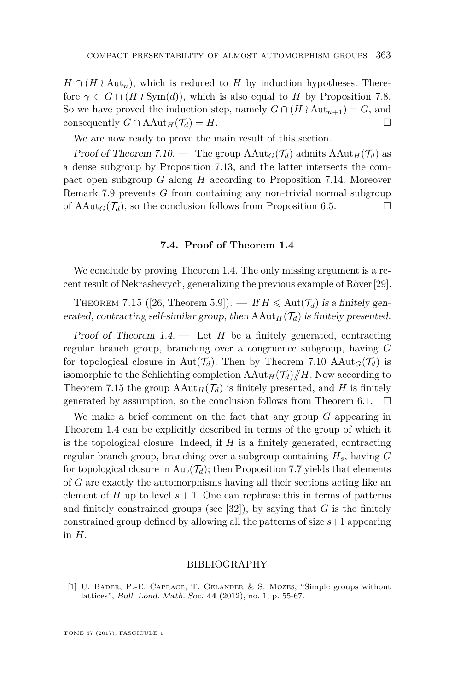$H \cap (H \wr \text{Aut}_n)$ , which is reduced to *H* by induction hypotheses. Therefore  $\gamma \in G \cap (H \wr \text{Sym}(d))$ , which is also equal to *H* by Proposition [7.8.](#page-30-2) So we have proved the induction step, namely  $G \cap (H \wr \text{Aut}_{n+1}) = G$ , and consequently  $G \cap \text{Aut}_{H}(T_{d}) = H$ . consequently  $G \cap \text{AAut}_H(\mathcal{T}_d) = H$ .

We are now ready to prove the main result of this section.

Proof of Theorem [7.10.](#page-32-0) — The group  $AAut_G(\mathcal{T}_d)$  admits  $AAut_H(\mathcal{T}_d)$  as a dense subgroup by Proposition [7.13,](#page-33-0) and the latter intersects the compact open subgroup *G* along *H* according to Proposition [7.14.](#page-34-0) Moreover Remark [7.9](#page-32-1) prevents *G* from containing any non-trivial normal subgroup of  $\text{AAut}_G(\mathcal{T}_d)$ , so the conclusion follows from Proposition [6.5.](#page-25-0)

#### **7.4. Proof of Theorem [1.4](#page-6-0)**

We conclude by proving Theorem [1.4.](#page-6-0) The only missing argument is a recent result of Nekrashevych, generalizing the previous example of Röver[\[29\]](#page-37-2).

<span id="page-35-1"></span>THEOREM 7.15 ([\[26,](#page-37-4) Theorem 5.9]). — If  $H \leq \text{Aut}(\mathcal{T}_d)$  is a finitely generated, contracting self-similar group, then  $AAut<sub>H</sub>(T<sub>d</sub>)$  is finitely presented.

Proof of Theorem  $1.4.$  — Let  $H$  be a finitely generated, contracting regular branch group, branching over a congruence subgroup, having *G* for topological closure in Aut $(\mathcal{T}_d)$ . Then by Theorem [7.10](#page-32-0) AAut<sub>*G*</sub>( $\mathcal{T}_d$ ) is isomorphic to the Schlichting completion  $AAut_H(\mathcal{T}_d)/H$ . Now according to Theorem [7.15](#page-35-1) the group  $AAut_H(\mathcal{T}_d)$  is finitely presented, and *H* is finitely generated by assumption, so the conclusion follows from Theorem 6.1.  $\Box$ generated by assumption, so the conclusion follows from Theorem [6.1.](#page-24-0)

We make a brief comment on the fact that any group *G* appearing in Theorem [1.4](#page-6-0) can be explicitly described in terms of the group of which it is the topological closure. Indeed, if *H* is a finitely generated, contracting regular branch group, branching over a subgroup containing *Hs*, having *G* for topological closure in  $Aut(\mathcal{T}_d)$ ; then Proposition [7.7](#page-30-1) yields that elements of *G* are exactly the automorphisms having all their sections acting like an element of *H* up to level  $s + 1$ . One can rephrase this in terms of patterns and finitely constrained groups (see [\[32\]](#page-37-5)), by saying that  $G$  is the finitely constrained group defined by allowing all the patterns of size *s*+1 appearing in *H*.

#### BIBLIOGRAPHY

<span id="page-35-0"></span>[1] U. Bader, P.-E. Caprace, T. Gelander & S. Mozes, "Simple groups without lattices", Bull. Lond. Math. Soc. **44** (2012), no. 1, p. 55-67.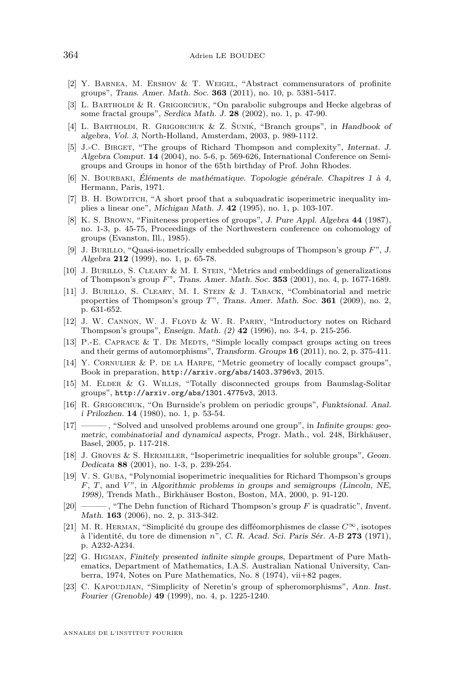- <span id="page-36-3"></span>[2] Y. Barnea, M. Ershov & T. Weigel, "Abstract commensurators of profinite groups", Trans. Amer. Math. Soc. **363** (2011), no. 10, p. 5381-5417.
- <span id="page-36-20"></span>[3] L. BARTHOLDI & R. GRIGORCHUK, "On parabolic subgroups and Hecke algebras of some fractal groups", Serdica Math. J. **28** (2002), no. 1, p. 47-90.
- <span id="page-36-10"></span>[4] L. BARTHOLDI, R. GRIGORCHUK & Z. ŠUNIK, "Branch groups", in Handbook of algebra, Vol. 3, North-Holland, Amsterdam, 2003, p. 989-1112.
- <span id="page-36-15"></span>[5] J.-C. BIRGET, "The groups of Richard Thompson and complexity", Internat. J. Algebra Comput. **14** (2004), no. 5-6, p. 569-626, International Conference on Semigroups and Groups in honor of the 65th birthday of Prof. John Rhodes.
- <span id="page-36-16"></span>[6] N. Bourbaki, Éléments de mathématique. Topologie générale. Chapitres 1 à 4, Hermann, Paris, 1971.
- <span id="page-36-7"></span>[7] B. H. BOWDITCH, "A short proof that a subquadratic isoperimetric inequality implies a linear one", Michigan Math. J. **42** (1995), no. 1, p. 103-107.
- <span id="page-36-11"></span>[8] K. S. Brown, "Finiteness properties of groups", J. Pure Appl. Algebra **44** (1987), no. 1-3, p. 45-75, Proceedings of the Northwestern conference on cohomology of groups (Evanston, Ill., 1985).
- <span id="page-36-12"></span>[9] J. Burillo, "Quasi-isometrically embedded subgroups of Thompson's group *F*", J. Algebra **212** (1999), no. 1, p. 65-78.
- <span id="page-36-13"></span>[10] J. Burillo, S. Cleary & M. I. Stein, "Metrics and embeddings of generalizations of Thompson's group *F*", Trans. Amer. Math. Soc. **353** (2001), no. 4, p. 1677-1689.
- <span id="page-36-14"></span>[11] J. BURILLO, S. CLEARY, M. I. STEIN & J. TABACK, "Combinatorial and metric properties of Thompson's group *T*", Trans. Amer. Math. Soc. **361** (2009), no. 2, p. 631-652.
- <span id="page-36-5"></span>[12] J. W. Cannon, W. J. Floyd & W. R. Parry, "Introductory notes on Richard Thompson's groups", Enseign. Math. (2) **42** (1996), no. 3-4, p. 215-256.
- <span id="page-36-2"></span>[13] P.-E. CAPRACE  $&$  T. DE MEDTS, "Simple locally compact groups acting on trees and their germs of automorphisms", Transform. Groups **16** (2011), no. 2, p. 375-411.
- <span id="page-36-6"></span>[14] Y. CORNULIER & P. DE LA HARPE, "Metric geometry of locally compact groups", Book in preparation, <http://arxiv.org/abs/1403.3796v3>, 2015.
- <span id="page-36-17"></span>[15] M. Elder & G. Willis, "Totally disconnected groups from Baumslag-Solitar groups", <http://arxiv.org/abs/1301.4775v3>, 2013.
- <span id="page-36-19"></span>[16] R. Grigorchuk, "On Burnside's problem on periodic groups", Funktsional. Anal. i Prilozhen. **14** (1980), no. 1, p. 53-54.
- <span id="page-36-21"></span>[17] ——— , "Solved and unsolved problems around one group", in Infinite groups: geometric, combinatorial and dynamical aspects, Progr. Math., vol. 248, Birkhäuser, Basel, 2005, p. 117-218.
- <span id="page-36-18"></span>[18] J. Groves & S. Hermiller, "Isoperimetric inequalities for soluble groups", Geom. Dedicata **88** (2001), no. 1-3, p. 239-254.
- <span id="page-36-9"></span>[19] V. S. Guba, "Polynomial isoperimetric inequalities for Richard Thompson's groups *F*, *T*, and *V* ", in Algorithmic problems in groups and semigroups (Lincoln, NE, 1998), Trends Math., Birkhäuser Boston, Boston, MA, 2000, p. 91-120.
- <span id="page-36-8"></span>[20] ——— , "The Dehn function of Richard Thompson's group *F* is quadratic", Invent. Math. **163** (2006), no. 2, p. 313-342.
- <span id="page-36-0"></span>[21] M. R. Herman, "Simplicité du groupe des difféomorphismes de classe *C*∞, isotopes à l'identité, du tore de dimension *n*", C. R. Acad. Sci. Paris Sér. A-B **273** (1971), p. A232-A234.
- <span id="page-36-4"></span>[22] G. Higman, Finitely presented infinite simple groups, Department of Pure Mathematics, Department of Mathematics, I.A.S. Australian National University, Canberra, 1974, Notes on Pure Mathematics, No. 8 (1974), vii+82 pages.
- <span id="page-36-1"></span>[23] C. KAPOUDJIAN, "Simplicity of Neretin's group of spheromorphisms", Ann. Inst. Fourier (Grenoble) **49** (1999), no. 4, p. 1225-1240.